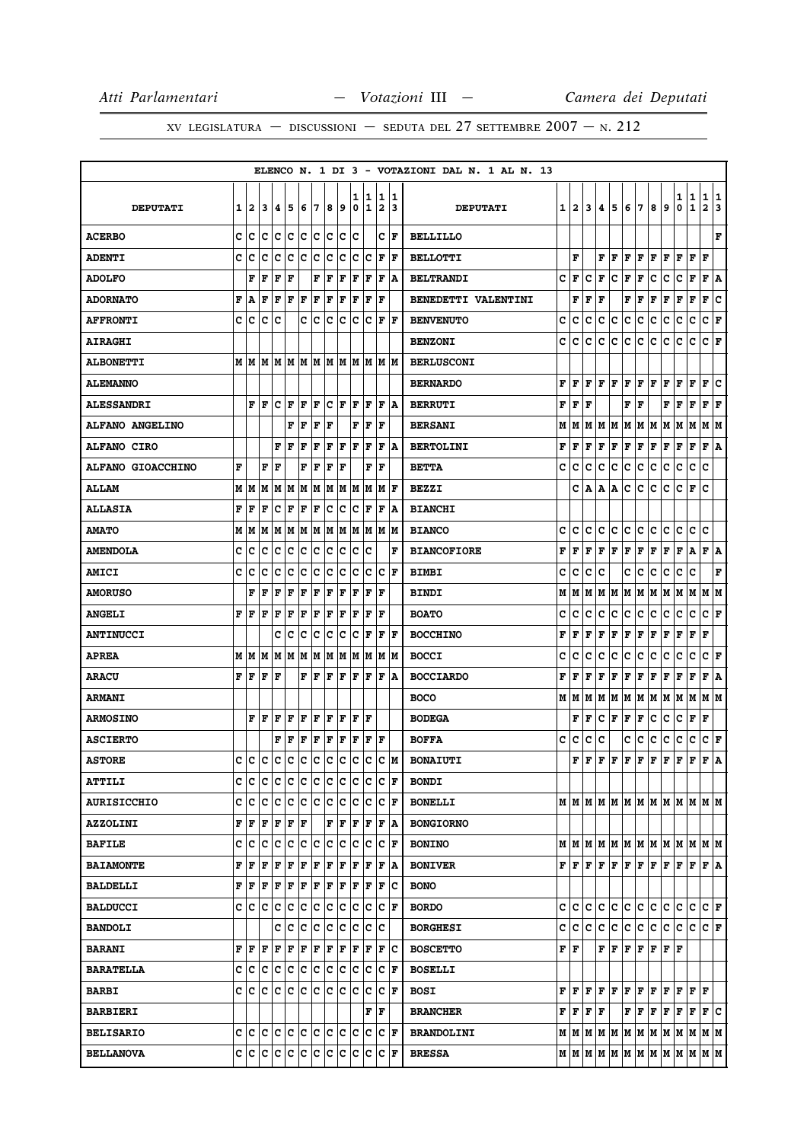|                        |   |         |                     |                                                                         |     |     |     |             |     |        |        |                              |                      | ELENCO N. 1 DI 3 - VOTAZIONI DAL N. 1 AL N. 13 |     |                                               |   |   |     |             |     |       |                                                                                                                                                                                                    |        |                              |                      |        |
|------------------------|---|---------|---------------------|-------------------------------------------------------------------------|-----|-----|-----|-------------|-----|--------|--------|------------------------------|----------------------|------------------------------------------------|-----|-----------------------------------------------|---|---|-----|-------------|-----|-------|----------------------------------------------------------------------------------------------------------------------------------------------------------------------------------------------------|--------|------------------------------|----------------------|--------|
| <b>DEPUTATI</b>        |   | 12      | 3                   | 14.                                                                     | 5   | 6   | 7   | 8           | 9   | 1<br>0 | 1<br>1 | 1<br>$\overline{\mathbf{2}}$ | 11<br>13             | <b>DEPUTATI</b>                                |     | 1   2                                         | 3 | 4 | 5   | 6           | 7   | 8     | 9                                                                                                                                                                                                  | 1<br>0 | $\mathbf{1}$<br>$\mathbf{1}$ | 1<br>$\mathbf{2}$    | 1<br>3 |
| <b>ACERBO</b>          | c | c       | lc                  | c                                                                       | c   | c   | c   | c           | ∣c  | lc     |        | c                            | F                    | <b>BELLILLO</b>                                |     |                                               |   |   |     |             |     |       |                                                                                                                                                                                                    |        |                              |                      | F      |
| <b>ADENTI</b>          | c | ١c      | c                   | Iс                                                                      | Ιc  | Ιc  | lc. | c           | c   | c      | Ιc     | F                            | F                    | <b>BELLOTTI</b>                                |     | F                                             |   | F | F   | F           | F   | F     | F                                                                                                                                                                                                  | F      | F                            | F                    |        |
| <b>ADOLFO</b>          |   | F       | F                   | F                                                                       | F   |     | F   | F           | F   | F      | F      | F                            | A                    | <b>BELTRANDI</b>                               | c   | F                                             | c | F | с   | F           | F   | с     | c                                                                                                                                                                                                  | с      | F                            | F                    | ١A     |
| <b>ADORNATO</b>        | F | ١A      | l F                 | F                                                                       | l F | F   | F   | l F         | F   | l F    | F      | F                            |                      | <b>BENEDETTI VALENTINI</b>                     |     | F                                             | F | F |     | F           | F   | F     | F                                                                                                                                                                                                  | F      | F                            | F                    | c      |
| <b>AFFRONTI</b>        |   | c  c    | lc.                 | lc                                                                      |     | c   | ١c  | Ιc          | c   | c      | lc.    | F                            | l F                  | <b>BENVENUTO</b>                               | c   | c                                             | с | c | с   | c           | c   | c     | c                                                                                                                                                                                                  | c      | $\mathbf C$                  | C F                  |        |
| <b>AIRAGHI</b>         |   |         |                     |                                                                         |     |     |     |             |     |        |        |                              |                      | <b>BENZONI</b>                                 | c   | c                                             | c | c | c   | с           | c   | с     | с                                                                                                                                                                                                  | с      | c                            | CF                   |        |
| <b>ALBONETTI</b>       |   |         |                     | M   M   M   M   M   M   M   M                                           |     |     |     |             |     |        | M M    |                              | IM IM                | <b>BERLUSCONI</b>                              |     |                                               |   |   |     |             |     |       |                                                                                                                                                                                                    |        |                              |                      |        |
| <b>ALEMANNO</b>        |   |         |                     |                                                                         |     |     |     |             |     |        |        |                              |                      | <b>BERNARDO</b>                                | F   | F                                             | F | F | F   | F           | F   | F     | F                                                                                                                                                                                                  | F      | F                            | F                    | lc.    |
| <b>ALESSANDRI</b>      |   | F       | ١F                  | Iс                                                                      | ΙF  | F   | F   | с           | F   | F      | F      | F                            | ١A                   | <b>BERRUTI</b>                                 | F   | F                                             | F |   |     | F           | F   |       | F                                                                                                                                                                                                  | F      | F                            | F                    | F      |
| <b>ALFANO ANGELINO</b> |   |         |                     |                                                                         | F   | F   | F   | l F         |     | F      | F      | ΙF                           |                      | <b>BERSANI</b>                                 | м   | M                                             | M | M | M   | M           | M   | M   M |                                                                                                                                                                                                    | M      | M                            | M  M                 |        |
| <b>ALFANO CIRO</b>     |   |         |                     | F                                                                       | F   | F   | F   | F           | F   | l F    | ΙF     | $\mathbf F$                  | A                    | <b>BERTOLINI</b>                               | F   | F                                             | F | F | F   | $\mathbf F$ | F   | F     | F                                                                                                                                                                                                  | г      | F                            | F                    | ۱A     |
| ALFANO GIOACCHINO      | F |         | F                   | lF                                                                      |     | F   | F   | l F         | F   |        | F      | l F                          |                      | <b>BETTA</b>                                   | c   | c                                             | C | c | с   | c           | c   | с     | c                                                                                                                                                                                                  | c      | $\mathbf C$                  | c                    |        |
| <b>ALLAM</b>           |   | MИ      | lм                  | M                                                                       | M   | M   | M   |             | M M | lм     | lМ     | lм                           | ΙF                   | <b>BEZZI</b>                                   |     | c                                             | A | А | A   | с           | c   | с     | с                                                                                                                                                                                                  | с      | F                            | c                    |        |
| <b>ALLASIA</b>         | F | F       | F                   | с                                                                       | l F | F   | F   | c           | c   | c      | ΙF     | F                            | ۱A                   | <b>BIANCHI</b>                                 |     |                                               |   |   |     |             |     |       |                                                                                                                                                                                                    |        |                              |                      |        |
| <b>AMATO</b>           |   | M   M   | IМ                  |                                                                         |     |     |     |             |     |        |        | M  M  M  M  M  M  M  M  M  M |                      | <b>BIANCO</b>                                  | c   | с                                             | c | с | lc. | c           | lc. | c     | c                                                                                                                                                                                                  | c      | lc.                          | c                    |        |
| <b>AMENDOLA</b>        | c | с       | c                   | с                                                                       | c   | c   | c   | c           | с   | c      | c      |                              | F                    | <b>BIANCOFIORE</b>                             | F   | F                                             | F | F | l F | F           | F   | F     | F                                                                                                                                                                                                  | F      | Α                            | F                    | ١A     |
| <b>AMICI</b>           | c | с       | c                   | Iс                                                                      | c   | c   | c   | c           | c   | c      | Ιc     | c                            | F                    | <b>BIMBI</b>                                   | c   | c                                             | с | c |     | c           | с   | с     | c                                                                                                                                                                                                  | с      | с                            |                      | F      |
| <b>AMORUSO</b>         |   | F       | l F                 | F                                                                       | l F | ΙF  | l F | l F         | F   | l F    | ΙF     | F                            |                      | <b>BINDI</b>                                   | М   | М                                             | М | М | M   | м           | M   | м     | M                                                                                                                                                                                                  | M      | M                            | M  M                 |        |
| <b>ANGELI</b>          | F | ١F      | l F                 | F                                                                       | F   | F   | ΙF  | ΙF          | F   | ΙF     | F      | F                            |                      | <b>BOATO</b>                                   | c   | c                                             | c | c | c   | с           | c   | с     | c                                                                                                                                                                                                  | с      | c                            | CF                   |        |
| <b>ANTINUCCI</b>       |   |         |                     | c                                                                       | Iс  | Iс  | c   | c           | Iс  | Iс     | F      | F                            | F                    | <b>BOCCHINO</b>                                | F   | F                                             | F | F | F   | F           | F   | F     | F                                                                                                                                                                                                  | г      | F                            | F                    |        |
| APREA                  |   | MIM     | lМ                  | lМ                                                                      | IМ  | lМ  | lМ  | lм          | M   | lм     | lМ     | м                            | lМ                   | <b>BOCCI</b>                                   | c   | c                                             | c | c | c   | c           | с   | с     | c                                                                                                                                                                                                  | c      | $\mathbf C$                  | c                    | F      |
| <b>ARACU</b>           | F | ١F      | F                   | lF                                                                      |     | F   | F   | F           | F   | F      | F      | F                            | ١A                   | <b>BOCCIARDO</b>                               | F   | F                                             | F | F | F   | F           | F   | F     | F                                                                                                                                                                                                  | F      | F                            | F                    | ΙA     |
| <b>ARMANI</b>          |   |         |                     |                                                                         |     |     |     |             |     |        |        |                              |                      | <b>BOCO</b>                                    | М   | M                                             | M | м | M   | М           | M   | M     | M                                                                                                                                                                                                  | M      | M                            | M                    | M      |
| <b>ARMOSINO</b>        |   |         | ${\bf F}$ ${\bf F}$ | l F                                                                     | F   | F   | F   | F           | F   | F      | F      |                              |                      | <b>BODEGA</b>                                  |     | F                                             | F | c | F   | F           | F   | с     | c                                                                                                                                                                                                  | c      | F                            | F                    |        |
| <b>ASCIERTO</b>        |   |         |                     | F                                                                       | F   | F   | F   | F           | F   | F      | F      | $\mathbf{F}$                 |                      | <b>BOFFA</b>                                   | c   | c                                             | c | c |     | c           | c   | c     | c                                                                                                                                                                                                  | c      | c                            | c                    | F      |
| <b>ASTORE</b>          | c | c c     |                     | Ιc                                                                      | Ιc  | Ιc  | Ιc  | lc          | Iс  | lc.    | Iс     | c                            | lм                   | <b>BONAIUTI</b>                                |     | F                                             | F | F | F   | $\mathbf F$ | F   | F     | F                                                                                                                                                                                                  | F      | F                            | F                    | A      |
| <b>ATTILI</b>          |   |         |                     | C C C C C C C C C                                                       |     |     |     |             |     |        | c c    | C F                          |                      | <b>BONDI</b>                                   |     |                                               |   |   |     |             |     |       |                                                                                                                                                                                                    |        |                              |                      |        |
| <b>AURISICCHIO</b>     |   | c  c    | lc.                 | c c c c c c                                                             |     |     |     |             |     | lc.    | Iс     |                              | $ {\bf C}  {\bf F} $ | <b>BONELLI</b>                                 |     |                                               |   |   |     |             |     |       | $M$   $M$   $M$   $M$   $M$   $M$   $M$   $M$   $M$   $M$   $M$   $M$                                                                                                                              |        |                              |                      |        |
| <b>AZZOLINI</b>        |   |         |                     | ${\bf F}\, \,{\bf F}\, \,{\bf F}\, \,{\bf F}\, \,{\bf F}\, \,{\bf F}\,$ |     |     |     |             | F F |        | F F    |                              | F A                  | <b>BONGIORNO</b>                               |     |                                               |   |   |     |             |     |       |                                                                                                                                                                                                    |        |                              |                      |        |
| <b>BAFILE</b>          | c | c       | lc                  | c                                                                       | c   | c   | c   | lc.         | c   | c      | Ιc     | $\mathbf C$                  | F                    | <b>BONINO</b>                                  |     |                                               |   |   |     |             |     |       | $M$   $M$   $M$   $M$   $M$   $M$   $M$   $M$   $M$   $M$   $M$   $M$                                                                                                                              |        |                              |                      |        |
| <b>BAIAMONTE</b>       |   | FF      | F                   | F                                                                       | F   | F   | F   | F           | F   | F      | F      |                              | F A                  | <b>BONIVER</b>                                 |     |                                               |   |   |     |             |     |       | ${\bf F}\, {\bf F}\, {\bf F}\, {\bf F}\, {\bf F}\, {\bf F}\, {\bf F}\, {\bf F}\, {\bf F}\, {\bf F}\, {\bf F}\, {\bf F}\, {\bf A}\,$                                                                |        |                              |                      |        |
| <b>BALDELLI</b>        |   | F  F    | F                   | F                                                                       | F   | F F |     |             | F F | F      | F      | F                            | Iс                   | <b>BONO</b>                                    |     |                                               |   |   |     |             |     |       |                                                                                                                                                                                                    |        |                              |                      |        |
| <b>BALDUCCI</b>        |   | c Ic Ic |                     | Ιc                                                                      | Ιc  | c   | Ιc  | Iс          | Iс  | c      | Iс     |                              | C F                  | <b>BORDO</b>                                   |     | c  c                                          | c | c | lc. | c c         |     | ∣c∙   | lc.                                                                                                                                                                                                | c      | С                            | $ C $ $\mathbf{F}$   |        |
| <b>BANDOLI</b>         |   |         |                     | c c                                                                     |     |     | c c |             | c c | IC.    | ∣c     | ∣c                           |                      | <b>BORGHESI</b>                                |     | c c c                                         |   |   | c c | c c         |     | c c   |                                                                                                                                                                                                    | c c    |                              | $ {\bf C}  {\bf F} $ |        |
| <b>BARANI</b>          |   | F F     | F                   | F                                                                       | F   | F F |     |             | F F | F      | F      | F                            | Iс                   | <b>BOSCETTO</b>                                | F F |                                               |   |   |     |             |     |       | ${\bf F}$ $\bf [F]$ $\bf [F]$ $\bf [F]$ $\bf [F]$ $\bf [F]$                                                                                                                                        |        |                              |                      |        |
| <b>BARATELLA</b>       |   |         |                     | c c c c c c c c c c                                                     |     |     |     |             |     |        | c c    |                              | C F                  | <b>BOSELLI</b>                                 |     |                                               |   |   |     |             |     |       |                                                                                                                                                                                                    |        |                              |                      |        |
| <b>BARBI</b>           | c | Iс      | Iс                  | Ιc                                                                      | ١c  | lc. | ١c  | lc          | Iс  | lc.    | Iс     | c                            | F                    | <b>BOSI</b>                                    | FF  |                                               | F |   |     |             |     |       | F   F   F   F   F   F   F   F                                                                                                                                                                      |        |                              |                      |        |
| <b>BARBIERI</b>        |   |         |                     |                                                                         |     |     |     |             |     |        | F      | F                            |                      | <b>BRANCHER</b>                                |     | $\mathbf{F} \mathbf{F} \mathbf{F} \mathbf{F}$ |   |   |     |             |     |       | $\mathbf{F} \left  \mathbf{F} \right. \left  \mathbf{F} \right. \left  \mathbf{F} \right. \left  \mathbf{F} \right. \left  \mathbf{F} \right. \left  \mathbf{F} \right. \left  \mathbf{C} \right.$ |        |                              |                      |        |
| <b>BELISARIO</b>       |   | c c c   |                     | c c                                                                     |     |     | c c |             | c c | lc     | Iс     |                              | C F                  | <b>BRANDOLINI</b>                              |     |                                               |   |   |     |             |     |       | $M$   $M$   $M$   $M$   $M$   $M$   $M$   $M$   $M$   $M$   $M$   $M$                                                                                                                              |        |                              |                      |        |
| <b>BELLANOVA</b>       |   |         |                     | c c c c c c c c                                                         |     |     |     | $ {\bf c} $ | ∣c  | c      | ∣c     |                              | $ {\bf C}  {\bf F} $ | <b>BRESSA</b>                                  |     |                                               |   |   |     |             |     |       | $M$   $M$   $M$   $M$   $M$   $M$   $M$   $M$   $M$   $M$   $M$   $M$                                                                                                                              |        |                              |                      |        |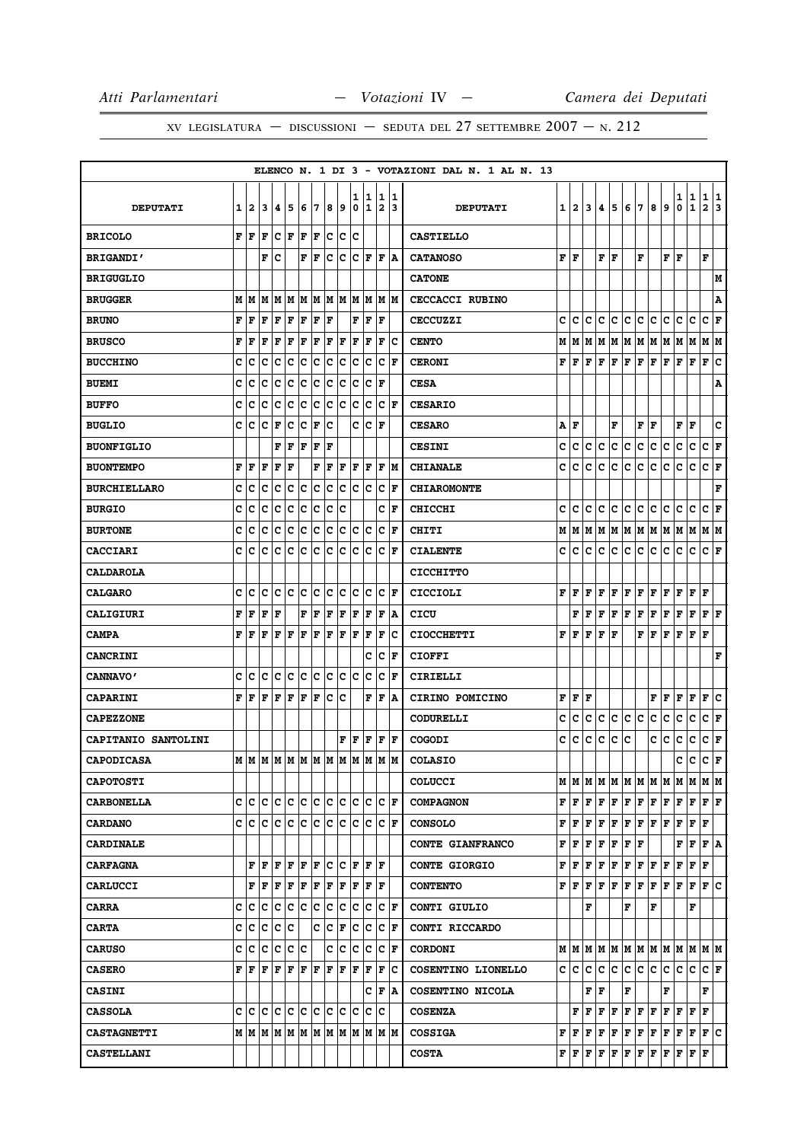XV LEGISLATURA — DISCUSSIONI — SEDUTA DEL 27 SETTEMBRE  $2007 - N. 212$ 

|                     |   |                           |     |     |               |     |    |         |     |     |             |                                          |                      | ELENCO N. 1 DI 3 - VOTAZIONI DAL N. 1 AL N. 13 |     |                |   |    |         |   |                        |     |                                                                                                                                                                                                                               |     |               |                                                                                                                                                                                                                                                                                                                                                                                                                                                                                            |   |
|---------------------|---|---------------------------|-----|-----|---------------|-----|----|---------|-----|-----|-------------|------------------------------------------|----------------------|------------------------------------------------|-----|----------------|---|----|---------|---|------------------------|-----|-------------------------------------------------------------------------------------------------------------------------------------------------------------------------------------------------------------------------------|-----|---------------|--------------------------------------------------------------------------------------------------------------------------------------------------------------------------------------------------------------------------------------------------------------------------------------------------------------------------------------------------------------------------------------------------------------------------------------------------------------------------------------------|---|
|                     |   |                           |     |     |               |     |    |         |     | 1   | 1           | 1                                        | 11                   |                                                |     |                |   |    |         |   |                        |     |                                                                                                                                                                                                                               | 1   | $\frac{1}{1}$ | 1                                                                                                                                                                                                                                                                                                                                                                                                                                                                                          | 1 |
| <b>DEPUTATI</b>     | 1 | 2                         | 3   | 4   | 5             | 16  | 7  | 8       | و ا | 0   | $\mathbf 1$ | $\overline{\mathbf{2}}$                  | 13                   | <b>DEPUTATI</b>                                | 1   | $\overline{2}$ | 3 | 4  | 5       | 6 | 7                      | 8   | 9                                                                                                                                                                                                                             | 0   |               | $\mathbf{2}$                                                                                                                                                                                                                                                                                                                                                                                                                                                                               | 3 |
| <b>BRICOLO</b>      | F | lF                        | F   | c   | ΙF            | F   | F  | с       | c   | c   |             |                                          |                      | <b>CASTIELLO</b>                               |     |                |   |    |         |   |                        |     |                                                                                                                                                                                                                               |     |               |                                                                                                                                                                                                                                                                                                                                                                                                                                                                                            |   |
| <b>BRIGANDI'</b>    |   |                           | F   | c   |               | F   | F  | c       | с   | c   | F           | F                                        | ١A                   | <b>CATANOSO</b>                                | F F |                |   | F  | F       |   | F                      |     | F F                                                                                                                                                                                                                           |     |               | F                                                                                                                                                                                                                                                                                                                                                                                                                                                                                          |   |
| <b>BRIGUGLIO</b>    |   |                           |     |     |               |     |    |         |     |     |             |                                          |                      | <b>CATONE</b>                                  |     |                |   |    |         |   |                        |     |                                                                                                                                                                                                                               |     |               |                                                                                                                                                                                                                                                                                                                                                                                                                                                                                            | М |
| <b>BRUGGER</b>      | M | M                         | М   | M   | M             | M   | M  | M       | M   | M   | M           | M                                        | lм                   | <b>CECCACCI RUBINO</b>                         |     |                |   |    |         |   |                        |     |                                                                                                                                                                                                                               |     |               |                                                                                                                                                                                                                                                                                                                                                                                                                                                                                            | Α |
| <b>BRUNO</b>        | F | F                         | F   | F   | F             | F   | F  | F       |     | F   | F           | F                                        |                      | <b>CECCUZZI</b>                                | c   | c              | c | c  | lc.     | c | lc.                    | lc. | c.                                                                                                                                                                                                                            | lc. | lc.           | C F                                                                                                                                                                                                                                                                                                                                                                                                                                                                                        |   |
| <b>BRUSCO</b>       | F | F                         | F   | F   | F             | F   | F  | F       | F   | ΙF  | F           | F                                        | Ιc                   | <b>CENTO</b>                                   | М   | M              | M |    | M   M   |   |                        |     | M  M  M  M  M  M                                                                                                                                                                                                              |     |               | M M                                                                                                                                                                                                                                                                                                                                                                                                                                                                                        |   |
| <b>BUCCHINO</b>     | c | с                         | c   | c   | c             | c   | c  | c       | с   | c   | Ιc          | c                                        | F                    | <b>CERONI</b>                                  | F   | l F            | F | F  | F       | F | F                      | F   | F                                                                                                                                                                                                                             | lF. | F             | F                                                                                                                                                                                                                                                                                                                                                                                                                                                                                          | c |
| <b>BUEMI</b>        | c | c                         | c   | c   | c             | c   | ∣c | c       | c   | c   | lc.         | l F                                      |                      | <b>CESA</b>                                    |     |                |   |    |         |   |                        |     |                                                                                                                                                                                                                               |     |               |                                                                                                                                                                                                                                                                                                                                                                                                                                                                                            | Α |
| <b>BUFFO</b>        | c | c                         | c   | c   | c             | c   | c  | с       | с   | c   | c           | c                                        | F                    | <b>CESARIO</b>                                 |     |                |   |    |         |   |                        |     |                                                                                                                                                                                                                               |     |               |                                                                                                                                                                                                                                                                                                                                                                                                                                                                                            |   |
| <b>BUGLIO</b>       | c | с                         | c   | F   | c             | c   | F  | c       |     | c   | c           | ΙF                                       |                      | <b>CESARO</b>                                  | Α   | F              |   |    | F       |   | ${\bf F} \mid {\bf F}$ |     |                                                                                                                                                                                                                               | F   | F             |                                                                                                                                                                                                                                                                                                                                                                                                                                                                                            | C |
| <b>BUONFIGLIO</b>   |   |                           |     | F   | F             | l F | F  | l F     |     |     |             |                                          |                      | <b>CESINI</b>                                  | c   | с              | c | c  | c       | c | c                      | c   | c                                                                                                                                                                                                                             | c   | c             | c                                                                                                                                                                                                                                                                                                                                                                                                                                                                                          | F |
| <b>BUONTEMPO</b>    | F | F                         | F   | F   | F             |     | F  | l F     | F   | F   | F           | l F                                      | lМ                   | <b>CHIANALE</b>                                | c   | c              | c | с  | c       | с | lc.                    | с   | c                                                                                                                                                                                                                             | с   | $\mathbf c$   | $ {\bf C}  {\bf F} $                                                                                                                                                                                                                                                                                                                                                                                                                                                                       |   |
| <b>BURCHIELLARO</b> | c | c                         | c   | c   | c             | c   | c  | с       | с   | c   | Ιc          | c                                        | F                    | <b>CHIAROMONTE</b>                             |     |                |   |    |         |   |                        |     |                                                                                                                                                                                                                               |     |               |                                                                                                                                                                                                                                                                                                                                                                                                                                                                                            | F |
| <b>BURGIO</b>       | c | c                         | c   | c   | c             | c   | c  | c       | c   |     |             | c                                        | F                    | <b>CHICCHI</b>                                 | c   | с              | c | с  | с       | c | с                      | с   | с                                                                                                                                                                                                                             | с   | c             | c                                                                                                                                                                                                                                                                                                                                                                                                                                                                                          | F |
| <b>BURTONE</b>      | c | c                         | c   | c   | c             | c   | c  | c       | c   | c   | c           | c                                        | F                    | CHITI                                          | М   | M              | M | M  | M       |   |                        |     | M  M  M  M  M  M                                                                                                                                                                                                              |     |               | M  M                                                                                                                                                                                                                                                                                                                                                                                                                                                                                       |   |
| <b>CACCIARI</b>     | c | c                         | c   | c   | c             | c   | c  | c       | c   | c   | c           | c                                        | l F                  | <b>CIALENTE</b>                                | c   | с              | c | c  | c       | c | c                      | с   | с                                                                                                                                                                                                                             | с   | c             | c                                                                                                                                                                                                                                                                                                                                                                                                                                                                                          | F |
| <b>CALDAROLA</b>    |   |                           |     |     |               |     |    |         |     |     |             |                                          |                      | <b>CICCHITTO</b>                               |     |                |   |    |         |   |                        |     |                                                                                                                                                                                                                               |     |               |                                                                                                                                                                                                                                                                                                                                                                                                                                                                                            |   |
| <b>CALGARO</b>      | c | c                         | C   | c   | c             | c   | c  | c       | c   | c   | c           | c                                        | F                    | CICCIOLI                                       | F   | l F            | F | F  | F       | F | F                      | F   | F                                                                                                                                                                                                                             | F   | F             | F                                                                                                                                                                                                                                                                                                                                                                                                                                                                                          |   |
| CALIGIURI           | F | F                         | F   | F   |               | F   | ΙF | ΙF      | F   | F   | F           | F                                        | ١A                   | CICU                                           |     | F              | F | F  | F       | F | F                      | F   | F                                                                                                                                                                                                                             | F   | F             | ${\bf F} \mid {\bf F}$                                                                                                                                                                                                                                                                                                                                                                                                                                                                     |   |
| <b>CAMPA</b>        | F | F                         | F   | F   | F             | F   | F  | F       | F   | F   | F           | $\mathbf F$                              | Ιc                   | <b>CIOCCHETTI</b>                              | F   | F              | F | F  | F       |   | F                      | F   | F                                                                                                                                                                                                                             | F F |               | F                                                                                                                                                                                                                                                                                                                                                                                                                                                                                          |   |
| <b>CANCRINI</b>     |   |                           |     |     |               |     |    |         |     |     | c           | c                                        | F                    | <b>CIOFFI</b>                                  |     |                |   |    |         |   |                        |     |                                                                                                                                                                                                                               |     |               |                                                                                                                                                                                                                                                                                                                                                                                                                                                                                            | F |
| <b>CANNAVO'</b>     | c | c                         | c   | lc. | c             | c   | c  | c       | c   | lc. | Iс          | c                                        | F                    | CIRIELLI                                       |     |                |   |    |         |   |                        |     |                                                                                                                                                                                                                               |     |               |                                                                                                                                                                                                                                                                                                                                                                                                                                                                                            |   |
| <b>CAPARINI</b>     | F | F                         | F   | F   | F             | F   | F  | с       | с   |     | F           | F                                        | ١A                   | CIRINO POMICINO                                | F   | F              | F |    |         |   |                        | F   | F                                                                                                                                                                                                                             | F   | F             | F                                                                                                                                                                                                                                                                                                                                                                                                                                                                                          | c |
| <b>CAPEZZONE</b>    |   |                           |     |     |               |     |    |         |     |     |             |                                          |                      | CODURELLI                                      | c   | с              | c | c  | c       | c | c                      | c   | c                                                                                                                                                                                                                             | c   | с             | C F                                                                                                                                                                                                                                                                                                                                                                                                                                                                                        |   |
| CAPITANIO SANTOLINI |   |                           |     |     |               |     |    |         | F   | ΙF  | F           | F                                        | F                    | COGODI                                         | c   | c              | c | c  | c       | c |                        | c   | c                                                                                                                                                                                                                             | c   | c             | c                                                                                                                                                                                                                                                                                                                                                                                                                                                                                          | F |
| <b>CAPODICASA</b>   |   | M M                       | lм  |     | M  M  M  M  M |     |    |         | M   | M   | M           | M                                        | lМ                   | <b>COLASIO</b>                                 |     |                |   |    |         |   |                        |     |                                                                                                                                                                                                                               | c   | c             | C F                                                                                                                                                                                                                                                                                                                                                                                                                                                                                        |   |
| <b>CAPOTOSTI</b>    |   |                           |     |     |               |     |    |         |     |     |             |                                          |                      | <b>COLUCCI</b>                                 |     |                |   |    |         |   |                        |     |                                                                                                                                                                                                                               |     |               |                                                                                                                                                                                                                                                                                                                                                                                                                                                                                            |   |
| <b>CARBONELLA</b>   | c | c c                       |     | c c |               | c c |    | c c     |     | c c |             |                                          | $ {\bf C}  {\bf F} $ | <b>COMPAGNON</b>                               |     |                |   |    |         |   |                        |     |                                                                                                                                                                                                                               |     |               | ${\bf F}\, \, {\bf F}\, \, {\bf F}\, \, {\bf F}\, \, {\bf F}\, \, {\bf F}\, \, {\bf F}\, \, {\bf F}\, \, {\bf F}\, \, {\bf F}\, \, {\bf F}\, \, {\bf F}\, \, {\bf F}\, \,$                                                                                                                                                                                                                                                                                                                 |   |
| <b>CARDANO</b>      |   |                           |     |     |               |     |    |         |     |     |             | c  c  c  c  c  c  c  c  c  c  c  c  c  F |                      | <b>CONSOLO</b>                                 |     |                |   |    |         |   |                        |     | ${\bf F}\, \, {\bf F}\, \, {\bf F}\, \, {\bf F}\, \, {\bf F}\, \, {\bf F}\, \, {\bf F}\, \, {\bf F}\, \, {\bf F}\, \, {\bf F}\, \, {\bf F}\, \, {\bf F}\, \,$                                                                 |     |               |                                                                                                                                                                                                                                                                                                                                                                                                                                                                                            |   |
| <b>CARDINALE</b>    |   |                           |     |     |               |     |    |         |     |     |             |                                          |                      | CONTE GIANFRANCO                               |     | FF             | F |    | F F F F |   |                        |     |                                                                                                                                                                                                                               |     |               | F F F A                                                                                                                                                                                                                                                                                                                                                                                                                                                                                    |   |
| <b>CARFAGNA</b>     |   |                           | FF  | F F |               | F F |    | c c     |     |     |             | F F F                                    |                      | <b>CONTE GIORGIO</b>                           |     |                |   |    |         |   |                        |     | ${\bf F}\, \,{\bf F}\, \,{\bf F}\, \,{\bf F}\, \,{\bf F}\, \,{\bf F}\, \,{\bf F}\, \,{\bf F}\, \,{\bf F}\, \,{\bf F}\, \,{\bf F}\, \,{\bf F}\, \,{\bf F}\,$                                                                   |     |               |                                                                                                                                                                                                                                                                                                                                                                                                                                                                                            |   |
| <b>CARLUCCI</b>     |   | F                         | F   | F   | F             | F   | F  | F       | F   | lF. | ١F          | F                                        |                      | <b>CONTENTO</b>                                |     |                |   |    |         |   |                        |     |                                                                                                                                                                                                                               |     |               | $\mathbf{F} \left  \mathbf{F} \right. \left  \mathbf{F} \right. \left  \mathbf{F} \right. \left  \mathbf{F} \right. \left  \mathbf{F} \right. \left  \mathbf{F} \right. \left  \mathbf{F} \right. \left  \mathbf{F} \right. \left  \mathbf{F} \right. \left  \mathbf{F} \right. \left  \mathbf{F} \right. \left  \mathbf{F} \right. \left  \mathbf{F} \right. \left  \mathbf{F} \right. \left  \mathbf{F} \right. \left  \mathbf{F} \right. \left  \mathbf{F} \right. \left  \mathbf{F} \$ |   |
| <b>CARRA</b>        | C | с                         | Ιc  | c c |               | c c |    | c       | Iс  | c   | Ιc          |                                          | C F                  | CONTI GIULIO                                   |     |                | F |    |         | F |                        | F   |                                                                                                                                                                                                                               |     | F             |                                                                                                                                                                                                                                                                                                                                                                                                                                                                                            |   |
| <b>CARTA</b>        | c | c                         | c   | c c |               |     | c  | c       | F   |     | c c         | C F                                      |                      | CONTI RICCARDO                                 |     |                |   |    |         |   |                        |     |                                                                                                                                                                                                                               |     |               |                                                                                                                                                                                                                                                                                                                                                                                                                                                                                            |   |
| <b>CARUSO</b>       | C | c                         | lc. | lc. | c             | Iс  |    | c       | ∣c  | lc. | Ιc          | lc.                                      | F                    | <b>CORDONI</b>                                 |     |                |   |    |         |   |                        |     |                                                                                                                                                                                                                               |     |               | $M$   $M$   $M$   $M$   $M$   $M$   $M$   $M$   $M$   $M$   $M$   $M$                                                                                                                                                                                                                                                                                                                                                                                                                      |   |
| <b>CASERO</b>       |   | ${\bf F}$ $\bf F$ $\bf F$ |     | F F |               | F F |    | F F F F |     |     |             | F                                        | ΙC                   | COSENTINO LIONELLO                             |     |                |   |    |         |   |                        |     | C C C C C C C C C C C C                                                                                                                                                                                                       |     |               | $ {\bf C}  {\bf F} $                                                                                                                                                                                                                                                                                                                                                                                                                                                                       |   |
| <b>CASINI</b>       |   |                           |     |     |               |     |    |         |     |     | c           | F A                                      |                      | COSENTINO NICOLA                               |     |                |   | FF |         | F |                        |     | F                                                                                                                                                                                                                             |     |               | F                                                                                                                                                                                                                                                                                                                                                                                                                                                                                          |   |
| <b>CASSOLA</b>      | c | c c                       |     | c c |               | c c |    | c c     |     | c   | Iс          | Iс                                       |                      | <b>COSENZA</b>                                 |     |                |   |    |         |   |                        |     | $\mathbf{F} \,   \, \mathbf{F} \,   \, \mathbf{F} \,   \, \mathbf{F} \,   \, \mathbf{F} \,   \, \mathbf{F} \,   \, \mathbf{F} \,   \, \mathbf{F} \,   \, \mathbf{F} \,   \, \mathbf{F} \,   \, \mathbf{F} \,   \, \mathbf{F}$ |     |               |                                                                                                                                                                                                                                                                                                                                                                                                                                                                                            |   |
| <b>CASTAGNETTI</b>  |   |                           |     |     |               |     |    |         |     |     |             | м м м м м м м м м м м м                  |                      | <b>COSSIGA</b>                                 |     |                |   |    |         |   |                        |     |                                                                                                                                                                                                                               |     |               | $\mathbf{F} \left  \mathbf{F} \right. \left  \mathbf{F} \right. \left  \mathbf{F} \right. \left  \mathbf{F} \right. \left  \mathbf{F} \right. \left  \mathbf{F} \right. \left  \mathbf{F} \right. \left  \mathbf{F} \right. \left  \mathbf{F} \right. \left  \mathbf{F} \right. \left  \mathbf{F} \right. \left  \mathbf{F} \right. \left  \mathbf{F} \right. \left  \mathbf{F} \right. \left  \mathbf{F} \right. \left  \mathbf{F} \right. \left  \mathbf{F} \right. \left  \mathbf{F} \$ |   |
| <b>CASTELLANI</b>   |   |                           |     |     |               |     |    |         |     |     |             |                                          |                      | <b>COSTA</b>                                   |     |                |   |    |         |   |                        |     | ${\bf F} \,   \, {\bf F} \,   \, {\bf F} \,   \, {\bf F} \,   \, {\bf F} \,   \, {\bf F} \,   \, {\bf F} \,   \, {\bf F} \,   \, {\bf F} \,   \, {\bf F} \,   \, {\bf F} \,   \, {\bf F} \,$                                  |     |               |                                                                                                                                                                                                                                                                                                                                                                                                                                                                                            |   |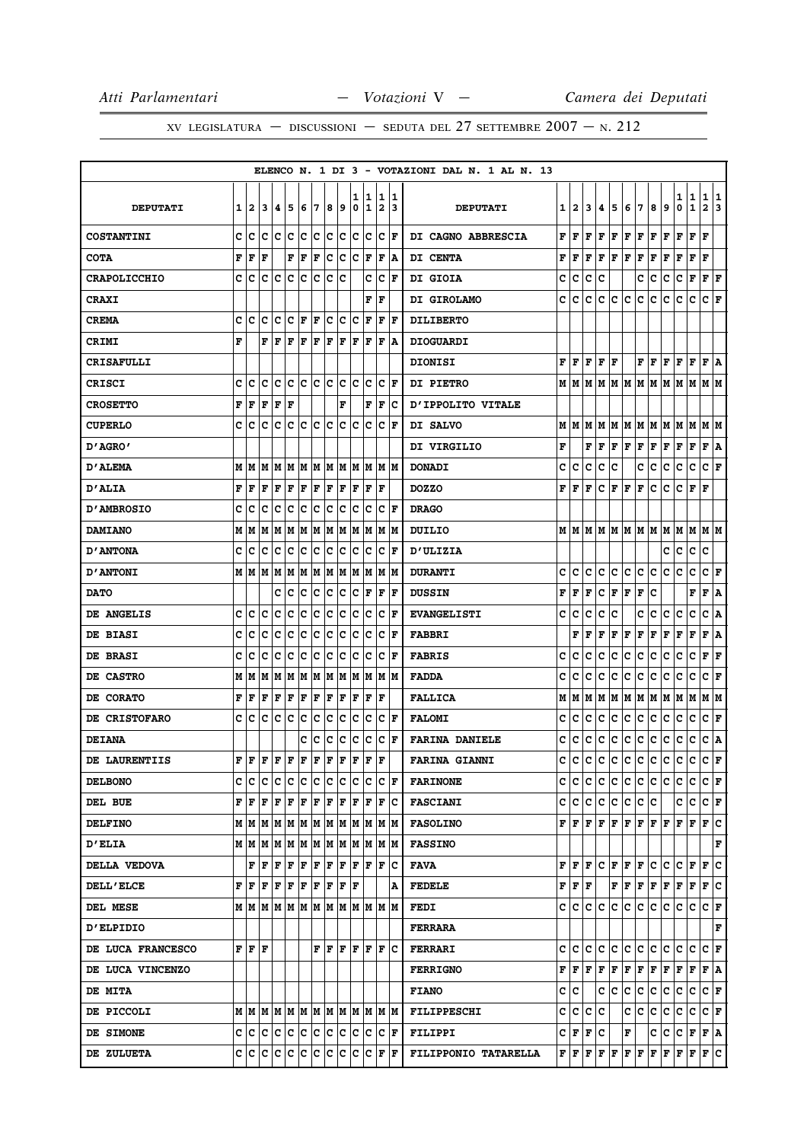|                          |   |                   |     |               |     |     |     |    |                                                                                                                         |        |        |                     |                      | ELENCO N. 1 DI 3 - VOTAZIONI DAL N. 1 AL N. 13 |   |                                           |   |     |                                                                                             |                           |       |     |                                                                                                                                                                                                                                                                                                                                                                                    |                      |               |                        |        |
|--------------------------|---|-------------------|-----|---------------|-----|-----|-----|----|-------------------------------------------------------------------------------------------------------------------------|--------|--------|---------------------|----------------------|------------------------------------------------|---|-------------------------------------------|---|-----|---------------------------------------------------------------------------------------------|---------------------------|-------|-----|------------------------------------------------------------------------------------------------------------------------------------------------------------------------------------------------------------------------------------------------------------------------------------------------------------------------------------------------------------------------------------|----------------------|---------------|------------------------|--------|
| <b>DEPUTATI</b>          |   | 12                | 3   | 14.           | 5   | 6   | 7   | 8  | و                                                                                                                       | ı<br>0 | 1<br>1 | 1<br>$\overline{2}$ | 11<br>13             | <b>DEPUTATI</b>                                | 1 | $\mathbf{2}$                              | 3 | 4   | 5                                                                                           | 6                         | 7     | 8   | 9                                                                                                                                                                                                                                                                                                                                                                                  | 1<br>0               | $\frac{1}{1}$ | 1<br>$\mathbf{2}$      | 1<br>3 |
| <b>COSTANTINI</b>        | с | c                 | Ιc  | Ιc            | Ιc  | c   | Iс  |    | c c                                                                                                                     |        | c c    |                     | $ {\bf C}  {\bf F} $ | DI CAGNO ABBRESCIA                             | F | F                                         | F | F   | F                                                                                           | F                         | F     | F   | F                                                                                                                                                                                                                                                                                                                                                                                  | F                    | F             | F                      |        |
| <b>COTA</b>              | F | l F               | l F |               | F   | F   | F   | Iс | Iс                                                                                                                      | Ιc     | F      | F                   | ۱A                   | <b>DI CENTA</b>                                | F | F                                         | F | F   | F                                                                                           | F                         | F     | F   | F                                                                                                                                                                                                                                                                                                                                                                                  | F                    | F             | F                      |        |
| <b>CRAPOLICCHIO</b>      | c | Ιc                | IC. | ΙC            | ١c  | lc. | Ιc  |    | c c                                                                                                                     |        | c      | IС                  | ΙF                   | <b>DI GIOIA</b>                                | с | c                                         | с | c   |                                                                                             |                           | с     | c   | с                                                                                                                                                                                                                                                                                                                                                                                  | c                    | F             | ${\bf F} \mid {\bf F}$ |        |
| <b>CRAXI</b>             |   |                   |     |               |     |     |     |    |                                                                                                                         |        | F      | l F                 |                      | DI GIROLAMO                                    | c | c                                         | с | c   | c                                                                                           | c                         | c     | c   | с                                                                                                                                                                                                                                                                                                                                                                                  | c                    | c             | C F                    |        |
| <b>CREMA</b>             |   | c Ic              | lc  | c c           |     | F   | F   |    | c c                                                                                                                     | lc.    | F      | F                   | ١F                   | <b>DILIBERTO</b>                               |   |                                           |   |     |                                                                                             |                           |       |     |                                                                                                                                                                                                                                                                                                                                                                                    |                      |               |                        |        |
| <b>CRIMI</b>             | F |                   | F   | l F           | F   | F   | F   |    | $ {\bf F}  {\bf F} $                                                                                                    |        | F F    | F                   | ١A                   | <b>DIOGUARDI</b>                               |   |                                           |   |     |                                                                                             |                           |       |     |                                                                                                                                                                                                                                                                                                                                                                                    |                      |               |                        |        |
| <b>CRISAFULLI</b>        |   |                   |     |               |     |     |     |    |                                                                                                                         |        |        |                     |                      | <b>DIONISI</b>                                 | F | F                                         | F | F   | F                                                                                           |                           | FF    |     | F                                                                                                                                                                                                                                                                                                                                                                                  | F                    | F             | F                      | ١A     |
| <b>CRISCI</b>            | с | Iс                | Ιc  |               | c c |     |     |    | c c c c                                                                                                                 |        | c c    | IC.                 | ١F                   | DI PIETRO                                      |   |                                           |   |     |                                                                                             |                           |       |     |                                                                                                                                                                                                                                                                                                                                                                                    |                      |               |                        |        |
| <b>CROSETTO</b>          | F | ١F                | F   | F             | F   |     |     |    | F                                                                                                                       |        | F      | F                   | ΙC                   | D'IPPOLITO VITALE                              |   |                                           |   |     |                                                                                             |                           |       |     |                                                                                                                                                                                                                                                                                                                                                                                    |                      |               |                        |        |
| <b>CUPERLO</b>           | c | Iс                | Iс  | Ιc            | c   | c c |     | c  | c                                                                                                                       | Ιc     | Ιc     | Iс                  | ١F                   | DI SALVO                                       |   | MM                                        | M | м   | M                                                                                           |                           |       |     | M  M  M  M  M  M                                                                                                                                                                                                                                                                                                                                                                   |                      |               | M M                    |        |
| D'AGRO'                  |   |                   |     |               |     |     |     |    |                                                                                                                         |        |        |                     |                      | DI VIRGILIO                                    | F |                                           | F | F   | F                                                                                           | FF                        |       | F F |                                                                                                                                                                                                                                                                                                                                                                                    | $ {\bf F}  {\bf F} $ |               | F A                    |        |
| <b>D'ALEMA</b>           |   | MM                | M   |               |     |     |     |    | M  M  M  M  M  M  M  M  M  M                                                                                            |        |        |                     |                      | <b>DONADI</b>                                  | c | с                                         | с | с   | с                                                                                           |                           | c     | c   | c                                                                                                                                                                                                                                                                                                                                                                                  | c                    | c             | C F                    |        |
| <b>D'ALIA</b>            | F | F                 | F   | F             | F   | F   | ΙF  |    | $ {\bf F}  {\bf F} $                                                                                                    | F      |        | F  F                |                      | <b>DOZZO</b>                                   | F | F                                         | F | c   | F                                                                                           | FF                        |       | c   | c                                                                                                                                                                                                                                                                                                                                                                                  |                      | $C$ $ F $ $F$ |                        |        |
| <b>D'AMBROSIO</b>        | c | Ιc                | с   | Iс            | Iс  | Ιc  | Iс  | Iс | Iс                                                                                                                      | Iс     | Ιc     | Iс                  | lF                   | <b>DRAGO</b>                                   |   |                                           |   |     |                                                                                             |                           |       |     |                                                                                                                                                                                                                                                                                                                                                                                    |                      |               |                        |        |
| <b>DAMIANO</b>           |   | M   M             |     | M  M  M  M  M |     |     |     |    | M  M  M  M  M  M                                                                                                        |        |        |                     |                      | DUILIO                                         |   |                                           |   |     |                                                                                             |                           |       |     |                                                                                                                                                                                                                                                                                                                                                                                    |                      |               |                        |        |
| <b>D'ANTONA</b>          | c | ıс                | c   | c             | c   | Ιc  | Iс  | Iс | IС                                                                                                                      | Iс     | Ιc     | IС                  | F                    | <b>D'ULIZIA</b>                                |   |                                           |   |     |                                                                                             |                           |       |     | с                                                                                                                                                                                                                                                                                                                                                                                  | с                    | с             | c                      |        |
| <b>D'ANTONI</b>          |   | M   M   M   M   M |     |               |     |     | M M |    | MM                                                                                                                      |        | M M    |                     | M  M                 | <b>DURANTI</b>                                 | c | с                                         | с | с   | с                                                                                           | с                         | с     | с   | с                                                                                                                                                                                                                                                                                                                                                                                  | с                    | c             | C F                    |        |
| <b>DATO</b>              |   |                   |     | c             | Ιc  | c   | c   | c  | c                                                                                                                       | c      | F      | F                   | F                    | <b>DUSSIN</b>                                  | F | F                                         | F | с   | F                                                                                           | ${\bf F} \,   \, {\bf F}$ |       | с   |                                                                                                                                                                                                                                                                                                                                                                                    |                      | F             | F                      | A      |
| <b>DE ANGELIS</b>        | c | ١c                | c   | c             | c   | c   | c   | c  | Iс                                                                                                                      | c      | Ιc     | Iс                  | lF                   | <b>EVANGELISTI</b>                             | c | c                                         | c | с   | c                                                                                           |                           | c     | с   | с                                                                                                                                                                                                                                                                                                                                                                                  | с                    | c             | c                      | ١A     |
| <b>DE BIASI</b>          | с | Ιc                | Ιc  | Iс            | Iс  | c   | c   | Iс | Iс                                                                                                                      | Iс     | Iс     | c                   | ١F                   | <b>FABBRI</b>                                  |   | F                                         | F | F   | F                                                                                           | F                         | F     | F   | Г                                                                                                                                                                                                                                                                                                                                                                                  | г                    | F             | F A                    |        |
| <b>DE BRASI</b>          | C | с                 | c   | c             | c   | Ιc  | c   | Iс | Iс                                                                                                                      | c      | Ιc     | c                   | lF                   | <b>FABRIS</b>                                  | c | c                                         | c | c   | с                                                                                           | c                         | c     | с   | c                                                                                                                                                                                                                                                                                                                                                                                  | с                    | с             | F                      | F      |
| <b>DE CASTRO</b>         |   | M   M             |     | M  M  M  M  M |     |     |     |    | M  M  M  M  M  M                                                                                                        |        |        |                     |                      | <b>FADDA</b>                                   | с | с                                         | с | с   | с                                                                                           | с                         | c     | с   | с                                                                                                                                                                                                                                                                                                                                                                                  | с                    | с             | C F                    |        |
| <b>DE CORATO</b>         | F | ١F                | l F | l F           | F   | F   | F   | F  | F                                                                                                                       | F      | F      | ΙF                  |                      | <b>FALLICA</b>                                 | М | М                                         | М | М   | Μ                                                                                           | Μ                         | M     | М   | M                                                                                                                                                                                                                                                                                                                                                                                  | M                    | М             | M   M                  |        |
| DE CRISTOFARO            | c | c                 | c   | Iс            | Iс  | c   | c   | Iс | Iс                                                                                                                      | c      | Iс     | IС                  | ١F                   | <b>FALOMI</b>                                  | С | с                                         | с | с   | c                                                                                           | с                         | c     | с   | c                                                                                                                                                                                                                                                                                                                                                                                  | c                    | c             | C F                    |        |
| <b>DEIANA</b>            |   |                   |     |               |     | c   | c   | c  | c                                                                                                                       | c      | c      | c                   | lF                   | <b>FARINA DANIELE</b>                          | c | c                                         | c | с   | c                                                                                           | с                         | c     | c   | c                                                                                                                                                                                                                                                                                                                                                                                  | c                    | c             | c                      | A      |
| DE LAURENTIIS            | F | F                 | F   | F             | F   | F   | F   | F  | F                                                                                                                       | F      | F      | l F                 |                      | <b>FARINA GIANNI</b>                           | c | c                                         | c | с   | c                                                                                           | c                         | c     | c   | c                                                                                                                                                                                                                                                                                                                                                                                  | c                    | с             | C F                    |        |
| <b>DELBONO</b>           |   |                   |     |               |     |     |     |    | C  C  C  C  C  C  C  C  C  C  C  C  F                                                                                   |        |        |                     |                      | <b>FARINONE</b>                                |   | c c                                       | c |     |                                                                                             |                           |       |     | C C C C C C C C F                                                                                                                                                                                                                                                                                                                                                                  |                      |               |                        |        |
| DEL BUE                  |   | FF                | lF. | F F           |     | F F |     |    | F F                                                                                                                     |        | F F    |                     | F C                  | <b>FASCIANI</b>                                |   | C C                                       | c | c   | $ {\bf c} $                                                                                 |                           | c c c |     |                                                                                                                                                                                                                                                                                                                                                                                    | c                    | c             | C F                    |        |
| <b>DELFINO</b>           |   |                   |     |               |     |     |     |    | $M$   $M$   $M$   $M$   $M$   $M$   $M$   $M$   $M$   $M$   $M$   $M$                                                   |        |        |                     |                      | <b>FASOLINO</b>                                |   |                                           |   |     |                                                                                             |                           |       |     | ${\bf F}\, {\bf F}\, {\bf F}\, {\bf F}\, {\bf F}\, {\bf F}\, {\bf F}\, {\bf F}\, {\bf F}\, {\bf F}\, {\bf F}\, {\bf F}\, {\bf C}\, {\bf F}\, {\bf F}\, {\bf F}\, {\bf F}\, {\bf F}\, {\bf F}\, {\bf F}\, {\bf F}\, {\bf F}\, {\bf F}\, {\bf F}\, {\bf F}\, {\bf F}\, {\bf F}\, {\bf F}\, {\bf F}\, {\bf F}\, {\bf F}\, {\bf F}\, {\bf F}\, {\bf F}\, {\bf F}\, {\bf F}\, {\bf F}\$ |                      |               |                        |        |
| <b>D'ELIA</b>            |   |                   |     |               |     |     |     |    |                                                                                                                         |        |        |                     | M  M                 | <b>FASSINO</b>                                 |   |                                           |   |     |                                                                                             |                           |       |     |                                                                                                                                                                                                                                                                                                                                                                                    |                      |               |                        | F      |
| DELLA VEDOVA             |   |                   |     |               |     |     |     |    |                                                                                                                         |        |        |                     |                      | FAVA                                           |   |                                           |   |     |                                                                                             |                           |       |     | $\mathbf{F} \left  \mathbf{F} \right. \left  \mathbf{F} \right. \left  \mathbf{C} \right. \left  \mathbf{F} \right. \left  \mathbf{F} \right. \left  \mathbf{C} \right. \left  \mathbf{C} \right. \left  \mathbf{C} \right. \left  \mathbf{F} \right. \left  \mathbf{F} \right. \left  \mathbf{C} \right. \left  \mathbf{C} \right.$                                               |                      |               |                        |        |
| <b>DELL'ELCE</b>         |   |                   |     |               |     |     |     |    | ${\bf F}\, \,{\bf F}\, \,{\bf F}\, \,{\bf F}\, \,{\bf F}\, \,{\bf F}\, \,{\bf F}\, \,{\bf F}\, \,{\bf F}\, \,{\bf F}\,$ |        |        |                     | A                    | <b>FEDELE</b>                                  |   | ${\bf F} \,   \, {\bf F} \,   \, {\bf F}$ |   |     |                                                                                             |                           |       |     | $\mathbf{F} \left  \mathbf{F} \right  \mathbf{F} \left  \mathbf{F} \right  \mathbf{F} \left  \mathbf{F} \right  \mathbf{F} \left  \mathbf{F} \right  \mathbf{C}$                                                                                                                                                                                                                   |                      |               |                        |        |
| <b>DEL MESE</b>          |   |                   |     |               |     |     |     |    |                                                                                                                         |        |        |                     |                      | FEDI                                           |   | C C                                       |   | c c |                                                                                             |                           |       |     |                                                                                                                                                                                                                                                                                                                                                                                    |                      |               |                        |        |
| <b>D'ELPIDIO</b>         |   |                   |     |               |     |     |     |    |                                                                                                                         |        |        |                     |                      | <b>FERRARA</b>                                 |   |                                           |   |     |                                                                                             |                           |       |     |                                                                                                                                                                                                                                                                                                                                                                                    |                      |               |                        | F      |
| <b>DE LUCA FRANCESCO</b> |   | F F F             |     |               |     |     |     |    | $\bf F \mid F \mid F \mid F \mid F \mid C$                                                                              |        |        |                     |                      | <b>FERRARI</b>                                 |   | c Ic                                      | c | c   | c                                                                                           |                           |       |     | c c c c c                                                                                                                                                                                                                                                                                                                                                                          |                      | c             | IC IF                  |        |
| DE LUCA VINCENZO         |   |                   |     |               |     |     |     |    |                                                                                                                         |        |        |                     |                      | <b>FERRIGNO</b>                                |   |                                           |   |     | $\mathbf{F}\left[\mathbf{F}\left \mathbf{F}\right \mathbf{F}\left \mathbf{F}\right.\right]$ |                           |       |     | $\mathbf{F} \left  \mathbf{F} \right. \left  \mathbf{F} \right. \left  \mathbf{F} \right. \left  \mathbf{F} \right. \left  \mathbf{F} \right. \left  \mathbf{F} \right. \left  \mathbf{A} \right.$                                                                                                                                                                                 |                      |               |                        |        |
| <b>DE MITA</b>           |   |                   |     |               |     |     |     |    |                                                                                                                         |        |        |                     |                      | <b>FIANO</b>                                   | c | c                                         |   | с   | с                                                                                           | c                         | c.    | C   | c.                                                                                                                                                                                                                                                                                                                                                                                 | c                    | c             | $ {\tt C} \;  $ F      |        |
| <b>DE PICCOLI</b>        |   |                   |     |               |     |     |     |    |                                                                                                                         |        |        |                     |                      | FILIPPESCHI                                    |   | c c c c                                   |   |     |                                                                                             |                           |       |     | C C C C C C F                                                                                                                                                                                                                                                                                                                                                                      |                      |               |                        |        |
| <b>DE SIMONE</b>         |   |                   |     |               |     |     |     |    | C C C C C C C C C C C C F                                                                                               |        |        |                     |                      | <b>FILIPPI</b>                                 |   | C F F C                                   |   |     |                                                                                             | F                         |       | c c |                                                                                                                                                                                                                                                                                                                                                                                    |                      |               | C F F A                |        |
| <b>DE ZULUETA</b>        |   |                   |     |               |     |     |     |    | C  C  C  C  C  C  C  C  C  C  C  F  F                                                                                   |        |        |                     |                      | FILIPPONIO TATARELLA                           |   |                                           |   |     | ${\bf F}\, \,{\bf F}\, \,{\bf F}\, \,{\bf F}\, \,{\bf F}\,$                                 |                           |       |     | F F F F F F F C                                                                                                                                                                                                                                                                                                                                                                    |                      |               |                        |        |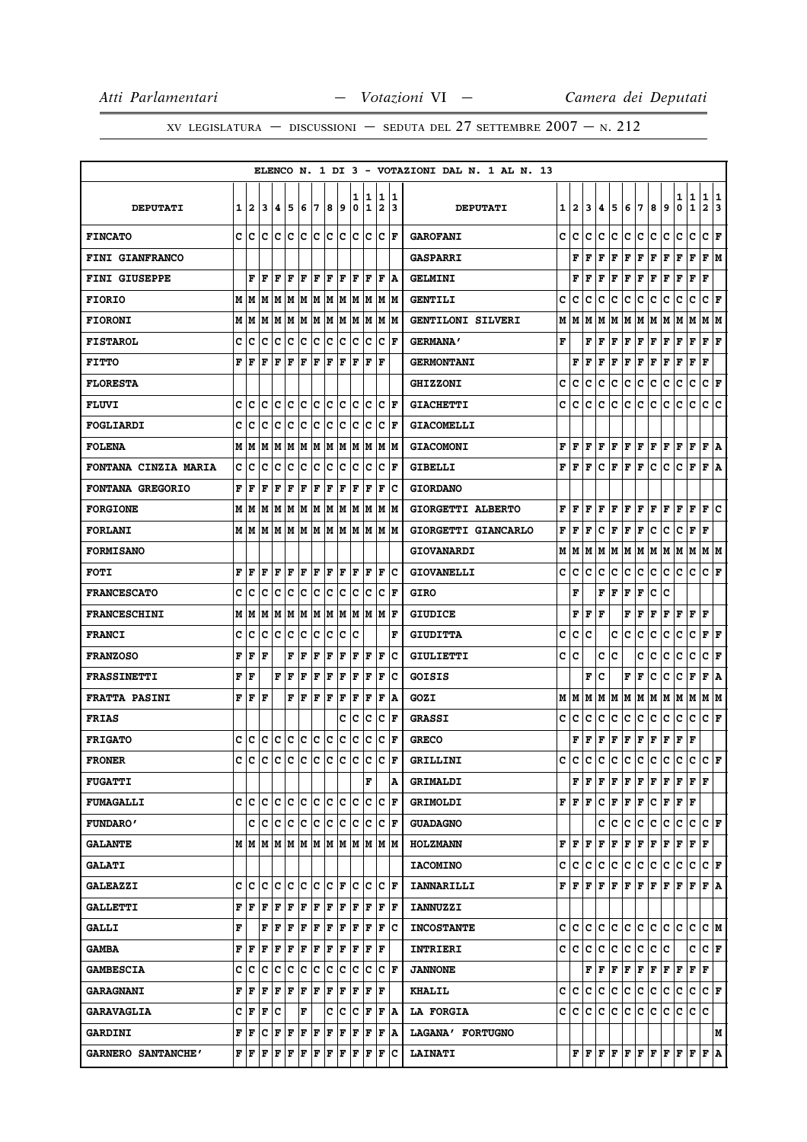|                             |   |      |         |               |             |     |     |     |                 |        |                  |                              |                      | ELENCO N. 1 DI 3 - VOTAZIONI DAL N. 1 AL N. 13 |   |            |     |     |                                                                                                                                                                                                                                                                                                                                                                                                                                                                                            |       |         |                      |     |                            |                  |                        |        |
|-----------------------------|---|------|---------|---------------|-------------|-----|-----|-----|-----------------|--------|------------------|------------------------------|----------------------|------------------------------------------------|---|------------|-----|-----|--------------------------------------------------------------------------------------------------------------------------------------------------------------------------------------------------------------------------------------------------------------------------------------------------------------------------------------------------------------------------------------------------------------------------------------------------------------------------------------------|-------|---------|----------------------|-----|----------------------------|------------------|------------------------|--------|
| <b>DEPUTATI</b>             | 1 | 12.  | 3       | 4             | 5           | 6   | 7   | 8   | 9               | ı<br>0 | 1<br>$\mathbf 1$ | 1<br>$\overline{\mathbf{2}}$ | 11<br>13             | <b>DEPUTATI</b>                                |   | $1\vert 2$ | 3   | 4   | 5                                                                                                                                                                                                                                                                                                                                                                                                                                                                                          | 6     | 7       | 8                    | 9   | 1<br>0                     | 1<br>$\mathbf 1$ | 1<br>$\overline{a}$    | 1<br>3 |
| <b>FINCATO</b>              | c | lc   | c       | lc.           | Iс          | lc. | lc. | lc. | Iс              | lc.    | Iс               | lc.                          | lF.                  | <b>GAROFANI</b>                                | c | lc.        | c   | c   | c                                                                                                                                                                                                                                                                                                                                                                                                                                                                                          | c     | c       | с                    | c   | с                          | c                | c                      | F      |
| <b>FINI GIANFRANCO</b>      |   |      |         |               |             |     |     |     |                 |        |                  |                              |                      | <b>GASPARRI</b>                                |   | F          | F   | F   | F                                                                                                                                                                                                                                                                                                                                                                                                                                                                                          | F     | F       | F                    | F   | F                          | F                | FM                     |        |
| <b>FINI GIUSEPPE</b>        |   | F    | l F     | F             | l F         | F   | l F | ΙF  | lF.             | l F    | l F              | l F                          | ١A                   | <b>GELMINI</b>                                 |   | F          | F   | l F | F                                                                                                                                                                                                                                                                                                                                                                                                                                                                                          | F     | F       | F                    | F   | F                          | $\mathbf F$      | F                      |        |
| <b>FIORIO</b>               | M | lм   | lМ      | M             | M           | lМ  | M   | M   | M               | M      | M                | M                            | lм                   | <b>GENTILI</b>                                 | c | c          | c   | c   | c                                                                                                                                                                                                                                                                                                                                                                                                                                                                                          | с     | c       | с                    | c   | c                          | c                | c                      | F      |
| <b>FIORONI</b>              |   | MM   | M       | M             | lМ          | M   | lМ  |     | IM IM           | lм     | lМ               |                              | IM IM                | GENTILONI SILVERI                              | М | IМ         | M   | м   | M                                                                                                                                                                                                                                                                                                                                                                                                                                                                                          | M M   |         | M                    | M   | M                          | M                | M  M                   |        |
| <b>FISTAROL</b>             | c | c    | c       | c             | Iс          | c   | c   | c   | c               | lc.    | Iс               | c                            | lF.                  | <b>GERMANA'</b>                                | F |            | F   | ΙF  | F                                                                                                                                                                                                                                                                                                                                                                                                                                                                                          | F     | F       | F                    | F   | F                          | $\mathbf F$      | ${\bf F} \mid {\bf F}$ |        |
| <b>FITTO</b>                | F | F    | F       | F             | $\mathbf F$ | F   | F   | ΙF  | F               | ΙF     | F                | F                            |                      | <b>GERMONTANI</b>                              |   | F          | l F | l F | F                                                                                                                                                                                                                                                                                                                                                                                                                                                                                          | F     | F       | F                    | F   | F                          | $\mathbf F$      | F                      |        |
| <b>FLORESTA</b>             |   |      |         |               |             |     |     |     |                 |        |                  |                              |                      | <b>GHIZZONI</b>                                | c | lc.        | c   | c   | с                                                                                                                                                                                                                                                                                                                                                                                                                                                                                          | с     | c       | с                    | с   | с                          | c                | C F                    |        |
| <b>FLUVI</b>                | c | c    | c       | c             | c           | c   | c   | C   | с               | c      | Ιc               | c                            | F                    | <b>GIACHETTI</b>                               | c | c          | c   | с   | c                                                                                                                                                                                                                                                                                                                                                                                                                                                                                          | с     | c       | c                    | c   | c                          | c                | c                      | c      |
| <b>FOGLIARDI</b>            | c | c    | C       | c             | c           | c   | c   | c   | c               | c      | Ιc               | c                            | l F                  | <b>GIACOMELLI</b>                              |   |            |     |     |                                                                                                                                                                                                                                                                                                                                                                                                                                                                                            |       |         |                      |     |                            |                  |                        |        |
| <b>FOLENA</b>               | M | lМ   | M       | M             | M           | M   | M   | M   | M               | M      | M                | M                            | lм                   | <b>GIACOMONI</b>                               | F | l F        | F   | l F | F                                                                                                                                                                                                                                                                                                                                                                                                                                                                                          | F     | F       | F                    | F   | F                          | $\mathbf F$      | F                      | ١A     |
| <b>FONTANA CINZIA MARIA</b> | c | C    | c       | c             | c           | c   | c   | c   | с               | c      | Ιc               | c                            | l F                  | <b>GIBELLI</b>                                 | F | l F        | F   | c   | F                                                                                                                                                                                                                                                                                                                                                                                                                                                                                          | F     | F       | с                    | c   | с                          | $\mathbf F$      | F                      | ١A     |
| FONTANA GREGORIO            | F | l F  | F       | F             | F           | F   | F   | F   | F               | lF.    | F                | l F                          | Ιc                   | <b>GIORDANO</b>                                |   |            |     |     |                                                                                                                                                                                                                                                                                                                                                                                                                                                                                            |       |         |                      |     |                            |                  |                        |        |
| <b>FORGIONE</b>             |   | MM   | M       | M             | IМ          | lМ  | M   | lМ  | M               | lМ     | lМ               | M                            | lМ                   | GIORGETTI ALBERTO                              | F | ١F         | ١F  | l F | F                                                                                                                                                                                                                                                                                                                                                                                                                                                                                          | F     | F       | F                    | l F | F                          | F                | F                      | c      |
| <b>FORLANI</b>              |   | MM   |         | M   M   M   M |             |     |     |     | MMMM            |        |                  |                              | IM IM                | GIORGETTI GIANCARLO                            | F | ١F         | F   | c   | F                                                                                                                                                                                                                                                                                                                                                                                                                                                                                          | F     | F       | с                    | c   | с                          | F                | F                      |        |
| <b>FORMISANO</b>            |   |      |         |               |             |     |     |     |                 |        |                  |                              |                      | <b>GIOVANARDI</b>                              | М | M          | M   | м   | lМ                                                                                                                                                                                                                                                                                                                                                                                                                                                                                         | M M   |         | M                    | M   | M                          | M                | МM                     |        |
| <b>FOTI</b>                 | F | F    | l F     | F             | ΙF          | F   | l F | ΙF  | F               | l F    | F                | F                            | lc                   | <b>GIOVANELLI</b>                              | c | c          | с   | c   | с                                                                                                                                                                                                                                                                                                                                                                                                                                                                                          | с     | c       | c                    | c   | с                          | c                | $ c _{\mathbf{F}}$     |        |
| <b>FRANCESCATO</b>          | C | c    | C       | c             | c           | c   | c   | c   | с               | c      | Ιc               | c                            | lF.                  | <b>GIRO</b>                                    |   | F          |     | F   | ΙF                                                                                                                                                                                                                                                                                                                                                                                                                                                                                         | F     | F       | c                    | c   |                            |                  |                        |        |
| <b>FRANCESCHINI</b>         | M | lМ   | M       | M             | IМ          | M   | M   | M   | M               | M      | M                | M                            | l F                  | <b>GIUDICE</b>                                 |   | F          | F   | l F |                                                                                                                                                                                                                                                                                                                                                                                                                                                                                            | F     | F       | F                    | F   | F                          | F                | F                      |        |
| <b>FRANCI</b>               | c | c    | Iс      | Iс            | Iс          | c   | c   | c   | c               | lc     |                  |                              | F                    | <b>GIUDITTA</b>                                | c | c          | c   |     | c                                                                                                                                                                                                                                                                                                                                                                                                                                                                                          | c     | c       | c                    | c   | с                          | c                | $ {\bf F}  {\bf F} $   |        |
| <b>FRANZOSO</b>             | F | F    | F       |               | F           | F   | F   | F   | F               | F      | F                | F                            | Ιc                   | GIULIETTI                                      | c | ١c         |     | c   | c                                                                                                                                                                                                                                                                                                                                                                                                                                                                                          |       | c       | c                    | c   | c                          | c                | c                      | F      |
| <b>FRASSINETTI</b>          | F | ١F   |         | F             | F           | F   | F   | F   | F               | F      | F                | F                            | Ιc                   | <b>GOISIS</b>                                  |   |            | F   | ١c  |                                                                                                                                                                                                                                                                                                                                                                                                                                                                                            | F     | F       | c                    | c   | с                          | F                | F   A                  |        |
| <b>FRATTA PASINI</b>        | F | F    | F       |               | F           | F   | F   | l F | F               | l F    | ΙF               | F                            | ١A                   | GOZI                                           |   | MIM        | М   | M   | lм                                                                                                                                                                                                                                                                                                                                                                                                                                                                                         | M   M |         | M                    | lм  | M                          | lм               | M  M                   |        |
| <b>FRIAS</b>                |   |      |         |               |             |     |     |     | c               | c      | c                | $\mathbf C$                  | F                    | <b>GRASSI</b>                                  | c | lc.        | c   | c   | с                                                                                                                                                                                                                                                                                                                                                                                                                                                                                          | с     | IС      | с                    | с   | c                          | c                | $ C $ F                |        |
| <b>FRIGATO</b>              | c | c    | c       | Iс            | ١c          | Ιc  | Iс  | lc  | с               | c      | Ιc               | c                            | lF.                  | <b>GRECO</b>                                   |   | F          | F   | F   | F                                                                                                                                                                                                                                                                                                                                                                                                                                                                                          | F     | F       | F                    | F   | F                          | F                |                        |        |
| <b>FRONER</b>               | c | ١c   | Iс      | Iс            | ١c          | c   | ∣c  | ∣c  | Iс              | lc.    | Iс               | Ιc                           | F                    | GRILLINI                                       | c | ١c         | c   | c   | lc.                                                                                                                                                                                                                                                                                                                                                                                                                                                                                        | c     | c       | c                    | c   | c                          | c                | $ C $ $\mathbf{F}$     |        |
| <b>FUGATTI</b>              |   |      |         |               |             |     |     |     |                 |        | F                |                              | A                    | <b>GRIMALDI</b>                                |   |            |     |     | $\mathbf{F} \left  \mathbf{F} \right  \mathbf{F} \left  \mathbf{F} \right  \mathbf{F} \left  \mathbf{F} \right  \mathbf{F} \left  \mathbf{F} \right $                                                                                                                                                                                                                                                                                                                                      |       |         |                      |     | $\bf{F}$ $\bf{F}$ $\bf{F}$ |                  |                        |        |
| <b>FUMAGALLI</b>            |   | c Ic | ١c      | lc.           | с           | lc. | lc. |     | c c             | lc.    | Iс               | c                            | ΙF                   | <b>GRIMOLDI</b>                                |   | F F F      |     | c   | F F F                                                                                                                                                                                                                                                                                                                                                                                                                                                                                      |       |         | $ {\bf C}  {\bf F} $ |     | F F                        |                  |                        |        |
| <b>FUNDARO'</b>             |   |      | c c c c |               |             | c c |     | c c |                 | IC.    | Ιc               |                              | C F                  | <b>GUADAGNO</b>                                |   |            |     | c   | с                                                                                                                                                                                                                                                                                                                                                                                                                                                                                          | с     | IС      | c                    | с   | c                          | c                | $ {\bf C}  {\bf F} $   |        |
| <b>GALANTE</b>              |   |      |         |               |             |     |     |     | MMMMMMMMMMMMMMM |        |                  |                              |                      | <b>HOLZMANN</b>                                |   | F F F      |     |     | F F                                                                                                                                                                                                                                                                                                                                                                                                                                                                                        | F F   |         | $ {\bf F}  {\bf F} $ |     | F                          | F                | lF                     |        |
| <b>GALATI</b>               |   |      |         |               |             |     |     |     |                 |        |                  |                              |                      | <b>IACOMINO</b>                                |   | c c c c    |     |     | c                                                                                                                                                                                                                                                                                                                                                                                                                                                                                          | c c   |         | ∣c                   | lc. | c                          | c                | $ {\bf C}\>  {\bf F} $ |        |
| <b>GALEAZZI</b>             | c | ١c   | ١c      | c             | ١c          | lc  | lc. | lc. | ١F              | c      | lc               |                              | CF                   | <b>IANNARILLI</b>                              |   |            |     |     | ${\bf F}\, \,{\bf F}\, \,{\bf F}\, \,{\bf F}\, \,{\bf F}\, \,{\bf F}\, \,{\bf F}\, \,{\bf F}\, \,{\bf F}\,$                                                                                                                                                                                                                                                                                                                                                                                |       |         |                      |     | F                          | F                | $ {\bf F}\, $ a        |        |
| <b>GALLETTI</b>             | F | ١F   | l F     | F             | F           | F   | F   | ΙF  | F               | F      | F                | F                            | ١F                   | <b>IANNUZZI</b>                                |   |            |     |     |                                                                                                                                                                                                                                                                                                                                                                                                                                                                                            |       |         |                      |     |                            |                  |                        |        |
| <b>GALLI</b>                | F |      | F       | F             | F           | F   | F   | F   | F               | F      | F                |                              | $ {\bf F}  {\bf C} $ | <b>INCOSTANTE</b>                              |   |            |     |     | c c c c c c c c c c c c c c                                                                                                                                                                                                                                                                                                                                                                                                                                                                |       |         |                      |     |                            |                  | cм                     |        |
| <b>GAMBA</b>                | F | lF   | l F     | F             | F           | F   | F   | F   | lF.             | F      | F                | ΙF                           |                      | <b>INTRIERI</b>                                |   | c c        | с   | c   | lC.                                                                                                                                                                                                                                                                                                                                                                                                                                                                                        | c     | c       | c                    | Ιc  |                            | c                | $ C $ $\mathbf{F}$     |        |
| <b>GAMBESCIA</b>            | с | c    | c       | c             | c           | c   | c   | c   | c               | с      | c                |                              | C F                  | <b>JANNONE</b>                                 |   |            |     |     | $\bf{F} \bf{F} \bf{F} \bf{F} \bf{F}$                                                                                                                                                                                                                                                                                                                                                                                                                                                       |       |         | F F                  |     | F                          | F  F             |                        |        |
| <b>GARAGNANI</b>            | F | F    | l F     | F             | l F         | F   | l F | F   | F               | lF.    | F                | l F                          |                      | <b>KHALIL</b>                                  |   | c c        | lc. | lc. | с                                                                                                                                                                                                                                                                                                                                                                                                                                                                                          | c c   |         | ∣c∙                  | lc. | c                          | c                | $ C $ $\mathbf{F}$     |        |
| <b>GARAVAGLIA</b>           | C | F    | F       | Iс            |             | F   |     | c   | Iс              | c      | F                |                              | F   A                | <b>LA FORGIA</b>                               |   | c c        |     | c c |                                                                                                                                                                                                                                                                                                                                                                                                                                                                                            |       | c c c c |                      | c c |                            | lc.              | lc                     |        |
| <b>GARDINI</b>              | F | F    | c       | F             | F           | F   | F   | F   | F               | F      | F                | F                            | İΑ                   | LAGANA' FORTUGNO                               |   |            |     |     |                                                                                                                                                                                                                                                                                                                                                                                                                                                                                            |       |         |                      |     |                            |                  |                        | М      |
| GARNERO SANTANCHE'          |   | FF   | F       | F             | F           | F   | F   | F   | F               | F      | F                | F                            | ١c                   | <b>LAINATI</b>                                 |   |            |     |     | $\mathbf{F} \left  \mathbf{F} \right. \left  \mathbf{F} \right. \left  \mathbf{F} \right. \left  \mathbf{F} \right. \left  \mathbf{F} \right. \left  \mathbf{F} \right. \left  \mathbf{F} \right. \left  \mathbf{F} \right. \left  \mathbf{F} \right. \left  \mathbf{F} \right. \left  \mathbf{F} \right. \left  \mathbf{F} \right. \left  \mathbf{F} \right. \left  \mathbf{F} \right. \left  \mathbf{F} \right. \left  \mathbf{F} \right. \left  \mathbf{F} \right. \left  \mathbf{F} \$ |       |         |                      |     |                            |                  | $ {\bf F}  {\bf A} $   |        |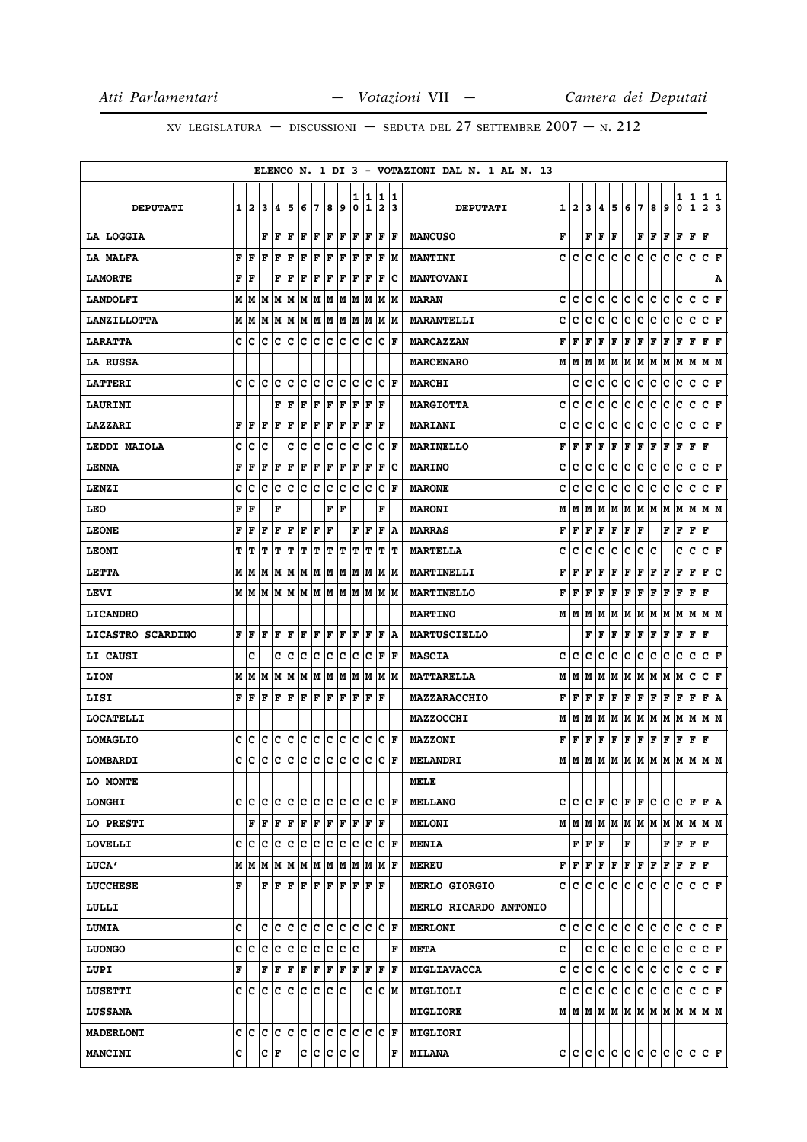|                    |   |      |                                   |                     |           |     |     |     |                        |        |        |                              |                      | ELENCO N. 1 DI 3 - VOTAZIONI DAL N. 1 AL N. 13 |   |                  |                     |                            |         |                                               |     |     |     |                                                                             |                   |                         |         |
|--------------------|---|------|-----------------------------------|---------------------|-----------|-----|-----|-----|------------------------|--------|--------|------------------------------|----------------------|------------------------------------------------|---|------------------|---------------------|----------------------------|---------|-----------------------------------------------|-----|-----|-----|-----------------------------------------------------------------------------|-------------------|-------------------------|---------|
| <b>DEPUTATI</b>    | 1 | 2    | 3                                 | 14                  | 5         | 6   | 17  | 8   | 9                      | ı<br>0 | 1<br>1 | 1<br>$\overline{\mathbf{2}}$ | 11.<br>13            | <b>DEPUTATI</b>                                |   | $1\vert 2 \vert$ | 3                   | 4                          | 5       | 6                                             | 17  | 8   | 9   | 1<br>0                                                                      | 1<br>$\mathbf{1}$ | 1<br>$\overline{a}$     | 1<br>13 |
| LA LOGGIA          |   |      | F                                 | lF.                 | ΙF        | F   | F   | l F | F                      | lF.    | F      | F                            | F                    | <b>MANCUSO</b>                                 | F |                  | F                   | F                          | F       |                                               | F   | F   | F   | F                                                                           | F                 | F                       |         |
| <b>LA MALFA</b>    | F | F    | F                                 | F                   | l F       | ΙF  | l F | ΙF  | F                      | l F    | ΙF     | F                            | M                    | <b>MANTINI</b>                                 | c | c                | c                   | c                          | c       | c                                             | c   | c   | c   | c                                                                           | c                 | c                       | F       |
| <b>LAMORTE</b>     | F | ١F   |                                   | F                   | ΙF        | F   | F   | ΙF  | F                      | l F    | F      | F                            | Ιc                   | <b>MANTOVANI</b>                               |   |                  |                     |                            |         |                                               |     |     |     |                                                                             |                   |                         | Α       |
| <b>LANDOLFI</b>    |   |      | M   M   M   M   M   M   M   M     |                     |           |     |     |     |                        |        | M  M   | M   M                        |                      | <b>MARAN</b>                                   | c | c                | c                   | c                          | lc.     | c                                             | c   | c   | c   | c                                                                           | c                 | c                       | F       |
| <b>LANZILLOTTA</b> |   | MM   |                                   | M   M   M           |           |     | M M |     | M M                    | M      | M      | lм                           | lМ                   | <b>MARANTELLI</b>                              | c | c                | c                   | c                          | с       | c                                             | c   | с   | c   | c                                                                           | c                 | c                       | F       |
| <b>LARATTA</b>     |   | c c  |                                   | c  c  c  c  c  c  c |           |     |     |     |                        | lc.    | Ιc     | Iс                           | ١F                   | <b>MARCAZZAN</b>                               | F | F                | F                   | $\mathbf{F}$               | F       | F                                             | F   | F   | F   | F                                                                           | F                 | F                       | ŀF      |
| LA RUSSA           |   |      |                                   |                     |           |     |     |     |                        |        |        |                              |                      | <b>MARCENARO</b>                               | м | lМ               | M                   | M                          | M       | M                                             | M   | M   | M   | M                                                                           | M                 | M                       | M       |
| <b>LATTERI</b>     | c | ١c   | lc                                | Iс                  | c         | c   | c   | c   | c                      | c      | Iс     | c                            | ١F                   | <b>MARCHI</b>                                  |   | c                | c                   | c                          | с       | c                                             | c   | c   | c   | c                                                                           | c                 | C F                     |         |
| <b>LAURINI</b>     |   |      |                                   | F                   | l F       | ΙF  | F   | F   | F                      | ΙF     | ΙF     | $\mathbf F$                  |                      | <b>MARGIOTTA</b>                               | c | c                | c                   | c                          | с       | c                                             | c   | с   | c   | c                                                                           | $\mathbf C$       | c                       | F       |
| <b>LAZZARI</b>     | F | l F  | F                                 | F                   | ΙF        | F   | F   | F   | F                      | ΙF     | F      | F                            |                      | <b>MARIANI</b>                                 | c | c                | c                   | c                          | c       | c                                             | c   | c   | c   | с                                                                           | c                 | C F                     |         |
| LEDDI MAIOLA       | c | Iс   | c                                 |                     | c         | Ιc  | c   | c   | с                      | c      | Ιc     | c                            | lF.                  | <b>MARINELLO</b>                               | F | F                | F                   | F                          | F       | $\mathbf F$                                   | F   | F   | F   | F                                                                           | F                 | F                       |         |
| <b>LENNA</b>       | F | F    | F                                 | F                   | ΙF        | F   | F   | F   | F                      | F      | F      | F                            | Iс                   | <b>MARINO</b>                                  | c | c                | c                   | c                          | с       | c                                             | c   | с   | c   | c                                                                           | $\mathbf C$       | c                       | F       |
| LENZI              | c | Ιc   | Ιc                                | Ιc                  | Iс        | lc. | ∣c  | lc  | Iс                     | Iс     | Ιc     | c                            | l F                  | <b>MARONE</b>                                  | c | c                | c                   | c                          | c       | с                                             | c   | с   | с   | с                                                                           | c                 | C F                     |         |
| LEO                | F | F    |                                   | F                   |           |     |     | F   | F                      |        |        | F                            |                      | <b>MARONI</b>                                  | М | М                | М                   | М                          | M       | M                                             | M   | M   | M   | M                                                                           | M                 | MM                      |         |
| <b>LEONE</b>       | F | F    | l F                               | F                   | F         | F   | F   | l F |                        | F      | F      | F                            | ۱A                   | <b>MARRAS</b>                                  | F | F                | F                   | F                          | F       | F                                             | F   |     | F   | F                                                                           | F                 | F                       |         |
| <b>LEONI</b>       | т | lΤ   | т                                 | T                   | т         | т   | т   | Т   | T                      | T      | lΤ     | т                            | IΤ                   | <b>MARTELLA</b>                                | c | c                | c                   | c                          | с       | c                                             | c   | c   |     | c                                                                           | c                 | CF                      |         |
| <b>LETTA</b>       |   |      | M   M   M                         | M                   | M         |     | M M |     | M  M                   | lМ     | lМ     |                              | M  M                 | MARTINELLI                                     | F | F                | F                   | F                          | F       | $\mathbf F$                                   | F   | F   | F   | F                                                                           | F                 | F                       | ١c      |
| LEVI               |   |      | M   M   M                         |                     |           |     |     |     | M  M  M  M  M  M  M  M |        |        | M M                          |                      | <b>MARTINELLO</b>                              | F | F                | F                   | F                          | F       | $\mathbf F$                                   | F   | F   | F   | F                                                                           | F                 | F                       |         |
| <b>LICANDRO</b>    |   |      |                                   |                     |           |     |     |     |                        |        |        |                              |                      | <b>MARTINO</b>                                 |   | MIM              | M                   | М                          | M       | M                                             | M   | M M |     | M                                                                           | M                 | M  M                    |         |
| LICASTRO SCARDINO  | F | F    | F                                 | F                   | F         | F   | ΙF  |     | F F                    | F      | F      | F                            | ١A                   | <b>MARTUSCIELLO</b>                            |   |                  | F                   | F                          | F       | F                                             | F   | F   | F   | F                                                                           | F                 | F                       |         |
| <b>LI CAUSI</b>    |   | c    |                                   | c                   | c         | c   | с   | c   | c                      | c      | c      | $\mathbf F$                  | F                    | <b>MASCIA</b>                                  | c | c                | c                   | c                          | с       | c                                             | c   | с   | c   | с                                                                           | с                 | c                       | F       |
| LION               |   |      | M   M   M                         | MM                  |           | M   | M   |     | M  M                   |        | M  M   | М                            | IМ                   | <b>MATTARELLA</b>                              | М | м                | M                   | М                          | M       | M                                             | M   | M   | M   | M                                                                           | с                 | C F                     |         |
| LISI               | F | ١F   | F                                 | F                   | F         | F   | F   | F   | F                      | F      | F      | l F                          |                      | <b>MAZZARACCHIO</b>                            | F | F                | F                   | F                          | F       | $\mathbf F$                                   | F   | F   | F   | F                                                                           | F                 | F                       | ۱A      |
| <b>LOCATELLI</b>   |   |      |                                   |                     |           |     |     |     |                        |        |        |                              |                      | <b>MAZZOCCHI</b>                               | М | M                | M                   | М                          | M       | M                                             | M   | M   | M   | M                                                                           | M                 | M  M                    |         |
| <b>LOMAGLIO</b>    | c | Ιc   | lc.                               | c c                 |           | c c |     | c c |                        | c      | ∣c     | c                            | ١F                   | <b>MAZZONI</b>                                 | F | l F              | F                   | $\mathbf F$                | F       | F                                             | F   | F   | F   | F                                                                           | F                 | F                       |         |
| LOMBARDI           | C | Ιc   | lc.                               | Iс                  | c c c     |     |     | c   | c                      | Iс     | Iс     | lc.                          | lF.                  | <b>MELANDRI</b>                                |   | MM               |                     |                            |         |                                               |     |     |     | MMMMMMMMMMMMM                                                               |                   |                         |         |
| LO MONTE           |   |      |                                   |                     |           |     |     |     |                        |        |        |                              |                      | MELE                                           |   |                  |                     |                            |         |                                               |     |     |     |                                                                             |                   |                         |         |
| <b>LONGHI</b>      | c | lc   | ١c                                | Iс                  | Ιc        | lc. | c   | lc. | Iс                     | lc.    | Ιc     | c                            | lF.                  | <b>MELLANO</b>                                 |   | c  c             |                     | $ {\tt C} \,  $ $\bf F \,$ | с       | F F                                           |     | с   | IС  | C F F A                                                                     |                   |                         |         |
| LO PRESTI          |   |      | F F F F                           |                     |           | F F |     | F F |                        | F      | ١F     | lF                           |                      | <b>MELONI</b>                                  |   |                  |                     |                            |         |                                               |     |     |     | $M$   $M$   $M$   $M$   $M$   $M$   $M$   $M$   $M$   $M$   $M$   $M$   $M$ |                   |                         |         |
| <b>LOVELLI</b>     | c | c    |                                   | c c c c c           |           |     |     |     | c c                    | Ιc     | Iс     | lc.                          | F                    | <b>MENIA</b>                                   |   |                  | ${\bf F}$ ${\bf F}$ | F                          |         | F                                             |     |     | F   | F                                                                           | F                 | F                       |         |
| <b>LUCA'</b>       |   |      | M   M   M   M   M   M   M   M   M |                     |           |     |     |     |                        |        | M M    | M F                          |                      | <b>MEREU</b>                                   | F |                  |                     |                            | F F F F | $\mathbf{F} \mathbf{F} \mathbf{F} \mathbf{F}$ |     |     |     | $F$ $F$ $F$                                                                 |                   |                         |         |
| <b>LUCCHESE</b>    | F |      |                                   | F F                 | F F F F F |     |     |     |                        | F      |        | IF IF                        |                      | <b>MERLO GIORGIO</b>                           |   |                  | c  c  c             | lc.                        | lc.     | c                                             | lc. | c.  | lc. | lc.                                                                         | c                 | C F                     |         |
| LULLI              |   |      |                                   |                     |           |     |     |     |                        |        |        |                              |                      | <b>MERLO RICARDO ANTONIO</b>                   |   |                  |                     |                            |         |                                               |     |     |     |                                                                             |                   |                         |         |
| <b>LUMIA</b>       | c |      |                                   |                     |           |     |     |     | c c c c c c c c c c    |        |        |                              | $ {\bf C}  {\bf F} $ | <b>MERLONI</b>                                 |   |                  | c c c               |                            | c c     | c c                                           |     | c c |     | С                                                                           | lc.               | $ {\bf C}  {\bf F} $    |         |
| <b>LUONGO</b>      |   | c  c | lc                                | c                   | ∣c        | ∣c  | ∣c  | lc  | Iс                     | Ιc     |        |                              | F                    | <b>META</b>                                    | c |                  | c                   | c                          | lc.     | c                                             | c   | c.  | c   | c                                                                           | c                 | C F                     |         |
| LUPI               | F |      | F                                 | F F                 |           | F F |     | F F |                        | lF.    | F      | F                            | F                    | <b>MIGLIAVACCA</b>                             | c | IC.              | c                   | c                          | с       | c                                             | c   | c.  | lc. | c                                                                           | lc.               | $ C $ $\mathbf{F}$      |         |
| <b>LUSETTI</b>     |   |      | C C C C C C C C C                 |                     |           |     |     |     |                        |        | c      | $ C $ M                      |                      | MIGLIOLI                                       | c | IC.              | lc.                 | c                          | lc.     | с                                             | lc. | c.  | lc. | С                                                                           | c                 | C F                     |         |
| <b>LUSSANA</b>     |   |      |                                   |                     |           |     |     |     |                        |        |        |                              |                      | <b>MIGLIORE</b>                                |   |                  |                     |                            |         |                                               |     |     |     | $M$   $M$   $M$   $M$   $M$   $M$   $M$   $M$   $M$   $M$   $M$   $M$       |                   |                         |         |
| <b>MADERLONI</b>   |   |      | c c c c c c c c c c               |                     |           |     |     |     |                        |        | c c    |                              | $ {\bf C}  {\bf F} $ | <b>MIGLIORI</b>                                |   |                  |                     |                            |         |                                               |     |     |     |                                                                             |                   |                         |         |
| <b>MANCINI</b>     | c |      |                                   | C F                 |           |     |     |     | c c c c c              |        |        |                              | F                    | <b>MILANA</b>                                  |   |                  |                     |                            |         | C C C C C C C                                 |     | c c |     | c c                                                                         |                   | $ {\tt C} \,  $ $\bf F$ |         |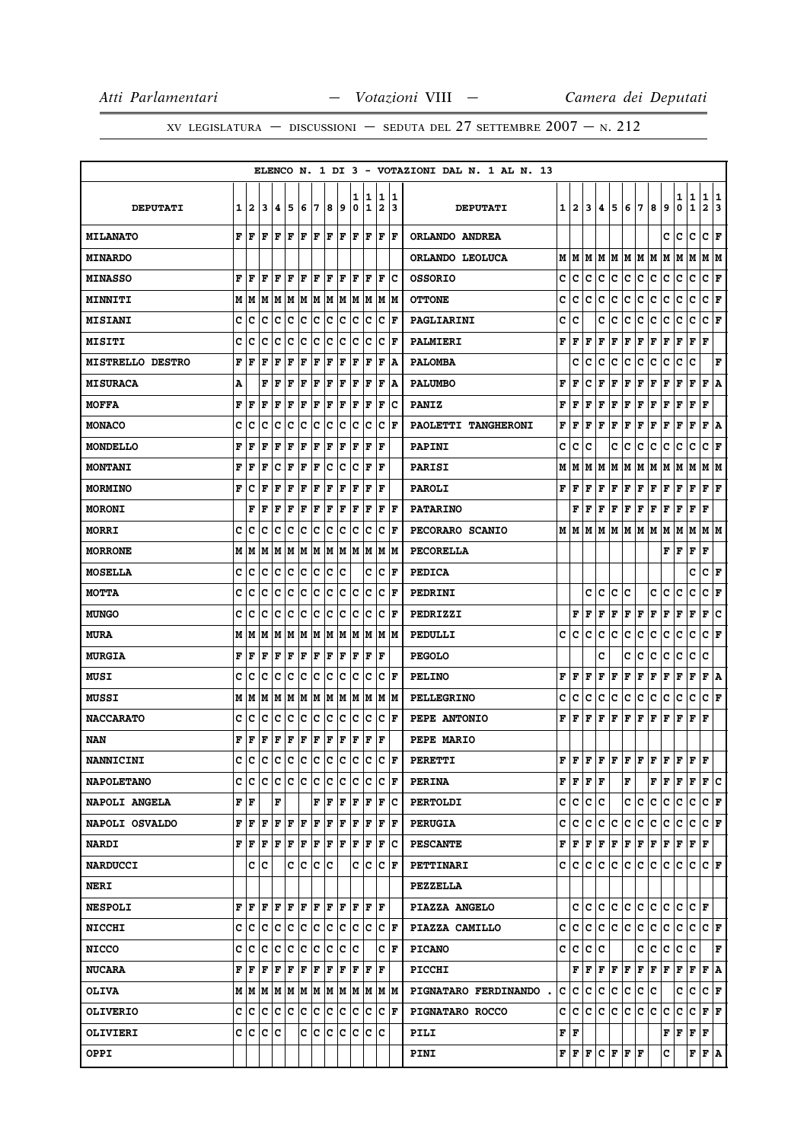|                         |   |         |     |           |                                                                       |     |         |     |                      |        |                   |                              |                      | ELENCO N. 1 DI 3 - VOTAZIONI DAL N. 1 AL N. 13 |                        |                                                             |              |              |             |         |       |     |                                                                                               |        |                                                                                                           |                              |        |
|-------------------------|---|---------|-----|-----------|-----------------------------------------------------------------------|-----|---------|-----|----------------------|--------|-------------------|------------------------------|----------------------|------------------------------------------------|------------------------|-------------------------------------------------------------|--------------|--------------|-------------|---------|-------|-----|-----------------------------------------------------------------------------------------------|--------|-----------------------------------------------------------------------------------------------------------|------------------------------|--------|
| <b>DEPUTATI</b>         | 1 | 12      | 3   | 4         | 5                                                                     | 6   | 7       | 8   | و ا                  | ı<br>0 | 1<br>$\mathbf{1}$ | 1<br>$\overline{\mathbf{2}}$ | 11<br>3              | <b>DEPUTATI</b>                                | 1                      | $\mathbf{2}$                                                | 3            | 4            | 5           | 6       | 7     | 8   | 9                                                                                             | 1<br>0 | 1<br>$\mathbf{1}$                                                                                         | 1<br>$\overline{\mathbf{2}}$ | 1<br>3 |
| <b>MILANATO</b>         | F | ١F      | ١F  | lF.       | ١F                                                                    | lF. | ١F      |     | $ {\bf F}  {\bf F} $ | lF.    | F                 | F                            | F                    | ORLANDO ANDREA                                 |                        |                                                             |              |              |             |         |       |     | c                                                                                             | с      | c                                                                                                         | c                            | F      |
| <b>MINARDO</b>          |   |         |     |           |                                                                       |     |         |     |                      |        |                   |                              |                      | ORLANDO LEOLUCA                                | М                      | М                                                           | м            | м            | м           | м       | lМ    | lМ  | M                                                                                             | м      | м                                                                                                         | м                            | lМ     |
| <b>MINASSO</b>          | F | l F     | l F | F         | ΙF                                                                    | F   | l F     | F   | ١F                   | F      | F                 | F                            | Ιc                   | <b>OSSORIO</b>                                 | c                      | c                                                           | с            | с            | с           | с       | с     | с   | с                                                                                             | c      | c                                                                                                         | c                            | F      |
| <b>MINNITI</b>          | M | lМ      | M   | M M       |                                                                       |     |         |     | M  M  M  M           |        | M M M M           |                              |                      | <b>OTTONE</b>                                  | c                      | c                                                           | c            | c            | c           | c       | c     | c   | c                                                                                             | с      | c                                                                                                         | c                            | F      |
| <b>MISIANI</b>          | c | с       | c   | c         | Iс                                                                    | Ιc  | Iс      | Iс  | Iс                   | Iс     | Iс                | Iс                           | lF                   | PAGLIARINI                                     | c                      | c                                                           |              | с            | c           | c       | c     | с   | с                                                                                             | с      | c                                                                                                         | c                            | F      |
| <b>MISITI</b>           | c | с       | c   | c         | c                                                                     | c   | Iс      | Iс  | Iс                   | Iс     | Ιc                | Iс                           | lF                   | PALMIERI                                       | F                      | F                                                           | F            | F            | F           | F       | F     | F   | F                                                                                             | F      | F                                                                                                         | F                            |        |
| <b>MISTRELLO DESTRO</b> | F | F       | F   | F         | F                                                                     | F   | F       | ΙF  | F                    | l F    | ΙF                | F                            | ١A                   | <b>PALOMBA</b>                                 |                        | c                                                           | c            | c            | с           | c       | c     | c   | с                                                                                             | с      | c                                                                                                         |                              | F      |
| <b>MISURACA</b>         | А |         | F   | l F       | F                                                                     | F   | F       | F   | F                    | F      | F                 | F                            | ۱A                   | <b>PALUMBO</b>                                 | F                      | F                                                           | c            | F            | F           | F       | F     | F   | F                                                                                             | F      | F                                                                                                         | F                            | A      |
| <b>MOFFA</b>            | F | F       | F   | F         | l F                                                                   | F   | F       | ΙF  | F                    | ΙF     | F                 | F                            | Ιc                   | <b>PANIZ</b>                                   | F                      | F                                                           | F            | F            | F           | F       | F     | F   | F                                                                                             | F      | F                                                                                                         | F                            |        |
| <b>MONACO</b>           | c | c       | c   | c         | c                                                                     | c   | c       | c   | c                    | c      | c                 | c                            | l F                  | PAOLETTI TANGHERONI                            | F                      | F                                                           | F            | F            | F           | F       | F     | F   | F                                                                                             | F      | F                                                                                                         | F                            | Α      |
| <b>MONDELLO</b>         | F | F       | F   | F         | l F                                                                   | F   | F       | F   | F                    | l F    | ΙF                | F                            |                      | PAPINI                                         | c                      | c                                                           | c            |              | c           | c       | c     | c   | c                                                                                             | c      | c                                                                                                         | C F                          |        |
| <b>MONTANI</b>          | F | F       | F   | с         | F                                                                     | F   | F       | c   | Iс                   | c      | F                 | ΙF                           |                      | <b>PARISI</b>                                  | М                      | М                                                           | М            | М            | Μ           | М       | M     | М   | M                                                                                             | M      | M                                                                                                         | M  M                         |        |
| <b>MORMINO</b>          | F | c       | F   | l F       | F                                                                     | F   | F       | F   | F                    | F      | F                 | ΙF                           |                      | <b>PAROLI</b>                                  | F                      | F                                                           | F            | F            | F           | F       | F     | F   | Г                                                                                             | F      | F                                                                                                         | ${\bf F} \,   \, {\bf F}$    |        |
| <b>MORONI</b>           |   | F       | ΙF  | F         | ΙF                                                                    | F   | F       | F   | F                    | ΙF     | F                 | F                            | F                    | <b>PATARINO</b>                                |                        | F                                                           | F            | F            | F           | F       | F     | F   | F                                                                                             | F      | F                                                                                                         | F                            |        |
| <b>MORRI</b>            | c | c       | с   | c         | Iс                                                                    | Ιc  | Iс      | lc. | Iс                   | Iс     | Iс                | Iс                           | ١F                   | PECORARO SCANIO                                | м                      | M                                                           | М            | М            | М           | М       | M     | M   | M                                                                                             | М      | М                                                                                                         | M   M                        |        |
| <b>MORRONE</b>          | M | M       | M   | lМ        | M                                                                     | lМ  | M       | lм  | M                    | lм     | M                 | M                            | lМ                   | <b>PECORELLA</b>                               |                        |                                                             |              |              |             |         |       |     | FF                                                                                            |        | F                                                                                                         | F                            |        |
| <b>MOSELLA</b>          | c | c       | c   | c         | c                                                                     | c   | c       | c   | Ιc                   |        | c                 | c                            | F                    | <b>PEDICA</b>                                  |                        |                                                             |              |              |             |         |       |     |                                                                                               |        | c                                                                                                         | C F                          |        |
| МОТТА                   | c | с       | c   | c         | c                                                                     | Ιc  | c       | c   | Iс                   | lc     | c                 | c                            | F                    | PEDRINI                                        |                        |                                                             | c            | c            | c           | c       |       | c   | c                                                                                             | с      | c                                                                                                         | c                            | F      |
| <b>MUNGO</b>            | c | Iс      | с   | c         | c                                                                     | Ιc  | Iс      | Ιc  | Iс                   | Ιc     | Iс                | lc.                          | ΙF                   | PEDRIZZI                                       |                        | F                                                           | F            | F            | F           | F       | F     | F   | F                                                                                             | F      | F                                                                                                         | F                            | c      |
| <b>MURA</b>             | м | M       |     |           | M  M  M  M  M  M  M  M  M  M  M                                       |     |         |     |                      |        |                   |                              |                      | PEDULLI                                        | с                      | с                                                           | с            | с            | с           | с       | с     | с   | с                                                                                             | с      | c                                                                                                         | $ C $ F                      |        |
| <b>MURGIA</b>           | F | l F     | F   | F         | F                                                                     | F   | F       | F   | F                    | ΙF     | F                 | ΙF                           |                      | <b>PEGOLO</b>                                  |                        |                                                             |              | c            |             | c       | c     | c   | с                                                                                             | с      | с                                                                                                         | c                            |        |
| <b>MUSI</b>             | c | с       | c   | c         | Iс                                                                    | Ιc  | Iс      | lc. | Iс                   | Iс     | Iс                | Iс                           | ١F                   | <b>PELINO</b>                                  | F                      | F                                                           | F            | F            | F           | F       | F     | F   | F                                                                                             | F      | F                                                                                                         | F A                          |        |
| MUSSI                   | M | M       | M   | M         | M                                                                     | lМ  | M       | lм  | M                    | lМ     | M                 | lм                           | lМ                   | <b>PELLEGRINO</b>                              | c                      | c                                                           | c            | с            | c           | c       | c     | с   | с                                                                                             | c      | c                                                                                                         | c                            | F      |
| <b>NACCARATO</b>        | c | c       | c   | c         | c                                                                     | c   | c       | c   | c                    | c      | c                 | c                            | F                    | PEPE ANTONIO                                   | F                      | F                                                           | F            | F            | F           | F       | F     | F   | F                                                                                             | F      | F                                                                                                         | F                            |        |
| NAN                     | F | F       | F   | F         | F                                                                     | F   | F       | F   | F                    | F      | F                 | ΙF                           |                      | PEPE MARIO                                     |                        |                                                             |              |              |             |         |       |     |                                                                                               |        |                                                                                                           |                              |        |
| <b>NANNICINI</b>        | c | с       | Ιc  | Iс        | Ιc                                                                    | c   | Ιc      | lc  | Ιc                   | Ιc     | Iс                | lc.                          | F                    | <b>PERETTI</b>                                 | F                      | F                                                           | F            | F            | F           | F       | F     | F   | F                                                                                             | F      | F                                                                                                         | F                            |        |
| <b>NAPOLETANO</b>       |   |         |     |           | C C C C C C C C C                                                     |     |         |     |                      |        | C C C F           |                              |                      | <b>PERINA</b>                                  |                        | ${\bf F}$ $\bf F$ $\bf F$ $\bf F$                           |              |              |             | F       |       |     | F F F F F C                                                                                   |        |                                                                                                           |                              |        |
| NAPOLI ANGELA           |   | F   F   |     | F         |                                                                       |     | F       | ١F  | F                    |        | F F               |                              | F C                  | <b>PERTOLDI</b>                                | c                      | с                                                           | с            | с            |             |         | c c   | c   | c.                                                                                            | c      | c                                                                                                         | C F                          |        |
| NAPOLI OSVALDO          | F | F F     |     | F F       |                                                                       | F F |         |     | F F                  |        | F F               |                              | $ {\bf F}  {\bf F} $ | <b>PERUGIA</b>                                 | c                      | с                                                           | с            | с            | c           | c       | c.    | c c |                                                                                               | c      | с                                                                                                         | $ {\tt C} \,  $ F            |        |
| <b>NARDI</b>            |   | FF      | F   | ΙF        | ١F                                                                    | F   | F       | F F |                      | F      | ١F                |                              | F C                  | <b>PESCANTE</b>                                |                        | ${\bf F}$ $\left  {\bf F} \right.$ $\left  {\bf F} \right.$ |              |              |             |         |       |     | F   F   F   F   F   F   F   F                                                                 |        |                                                                                                           |                              |        |
| <b>NARDUCCI</b>         |   | c c     |     |           |                                                                       |     | c c c c |     |                      |        | C C C F           |                              |                      | <b>PETTINARI</b>                               |                        | c Ic                                                        | c            | C            |             |         |       |     | c  c  c  c  c  c  c  c  F                                                                     |        |                                                                                                           |                              |        |
| <b>NERI</b>             |   |         |     |           |                                                                       |     |         |     |                      |        |                   |                              |                      | <b>PEZZELLA</b>                                |                        |                                                             |              |              |             |         |       |     |                                                                                               |        |                                                                                                           |                              |        |
| <b>NESPOLI</b>          |   | FF      | lF. |           | $F$ $F$ $F$ $F$ $F$ $F$                                               |     |         |     |                      |        | F F F             |                              |                      | PIAZZA ANGELO                                  |                        | c                                                           | c            | c            |             |         |       |     | C C C C C C                                                                                   |        | $ {\bf C}  {\bf F} $                                                                                      |                              |        |
| <b>NICCHI</b>           |   |         |     |           | c  c  c  c  c  c  c  c  c  c  c  c  F                                 |     |         |     |                      |        |                   |                              |                      | PIAZZA CAMILLO                                 | c                      | с                                                           | c            |              |             |         |       |     |                                                                                               |        |                                                                                                           |                              |        |
| <b>NICCO</b>            | c | Ιc      | Iс  | Iс        | Ιc                                                                    | Iс  | Ιc      | Ιc  | lc.                  | Ιc     |                   |                              | C IF                 | <b>PICANO</b>                                  | c                      | с                                                           | с            | c            |             |         | c     | с   | c                                                                                             | c      | c                                                                                                         |                              | F      |
| <b>NUCARA</b>           |   | FF      | ΙF  |           | F F F F                                                               |     |         |     | F F                  |        | F F F             |                              |                      | <b>PICCHI</b>                                  |                        | F                                                           | $\mathbf{F}$ | $\mathbf{F}$ |             |         |       |     | $\bf{F} \left   \bf{F} \left   \bf{F} \left   \bf{F} \right   \bf{F} \right   \bf{F} \right)$ |        | F F A                                                                                                     |                              |        |
| <b>OLIVA</b>            |   |         |     |           | $M$   $M$   $M$   $M$   $M$   $M$   $M$   $M$   $M$   $M$   $M$   $M$ |     |         |     |                      |        |                   |                              |                      | <b>PIGNATARO FERDINANDO</b>                    | c                      | c                                                           | c            | c            | c           |         | c c   | c   |                                                                                               | c      | с                                                                                                         | C F                          |        |
| <b>OLIVERIO</b>         |   |         |     | C C C C C |                                                                       | c c |         |     | c c c c              |        |                   |                              | $ {\bf C}  {\bf F} $ | PIGNATARO ROCCO                                | c                      | c                                                           | $\mathbf{C}$ | c            | $ {\bf c} $ |         | c c c |     | c.                                                                                            | c      | $ {\bf C}\, {\bf F}\, {\bf F} $                                                                           |                              |        |
| <b>OLIVIERI</b>         |   | C C C C |     |           |                                                                       |     | c c     | c c |                      |        | C C C             |                              |                      | PILI                                           | ${\bf F} \mid {\bf F}$ |                                                             |              |              |             |         |       |     |                                                                                               |        | $\mathbf{F} \left  \mathbf{F} \right. \left  \mathbf{F} \right. \left  \mathbf{F} \right. \left. \right.$ |                              |        |
| <b>OPPI</b>             |   |         |     |           |                                                                       |     |         |     |                      |        |                   |                              |                      | PINI                                           |                        | ${\bf F} \,   \, {\bf F} \,   \, {\bf F}$                   |              |              |             | C F F F |       |     | c                                                                                             |        | F F A                                                                                                     |                              |        |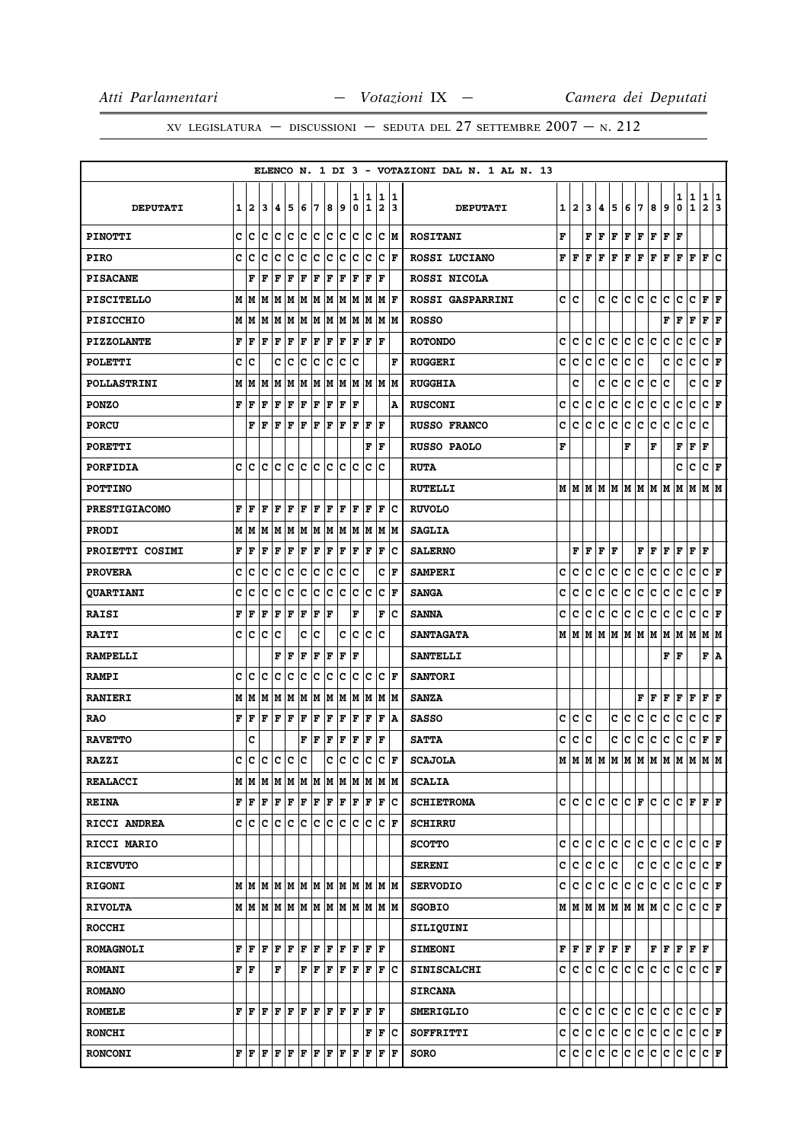|                      |   |       |                                                                                                                                                                                                                                                                                                                                                                                                                                                                                            |                           |     |                      |     |     |                  |     |     |                |                      | ELENCO N. 1 DI 3 - VOTAZIONI DAL N. 1 AL N. 13 |   |              |   |                                |             |     |                                   |    |                               |               |               |                        |                         |
|----------------------|---|-------|--------------------------------------------------------------------------------------------------------------------------------------------------------------------------------------------------------------------------------------------------------------------------------------------------------------------------------------------------------------------------------------------------------------------------------------------------------------------------------------------|---------------------------|-----|----------------------|-----|-----|------------------|-----|-----|----------------|----------------------|------------------------------------------------|---|--------------|---|--------------------------------|-------------|-----|-----------------------------------|----|-------------------------------|---------------|---------------|------------------------|-------------------------|
|                      |   |       |                                                                                                                                                                                                                                                                                                                                                                                                                                                                                            |                           |     |                      |     |     |                  | 1   | 1   |                | 1 1                  |                                                |   |              |   |                                |             |     |                                   |    |                               |               |               |                        | 1                       |
| <b>DEPUTATI</b>      | 1 | 12    | 3                                                                                                                                                                                                                                                                                                                                                                                                                                                                                          | 4                         | 5   | 6                    | 7   | 8   | و                | 0   | 1   | $\overline{2}$ | 13                   | <b>DEPUTATI</b>                                | 1 | $\mathbf{2}$ | 3 | 4                              | 5           | 6   | 7                                 | 8  | 9                             | $\frac{1}{0}$ | $\frac{1}{1}$ | $\frac{1}{2}$          | $\overline{\mathbf{3}}$ |
| <b>PINOTTI</b>       | C | c     | Ιc                                                                                                                                                                                                                                                                                                                                                                                                                                                                                         | Iс                        | Ιc  | lc.                  | c   | c c |                  |     | c c |                | C ∣M                 | <b>ROSITANI</b>                                | F |              | F | F                              | F           | F   | F                                 | F  | F                             | F             |               |                        |                         |
| <b>PIRO</b>          | C | c     | c                                                                                                                                                                                                                                                                                                                                                                                                                                                                                          | c                         | c   | c                    | c   | c   | c                | lc  | Iс  | lc.            | ١F                   | ROSSI LUCIANO                                  | F | F            | F | F                              | F           | F   | F                                 | F  | F                             | F             | F             | F                      | ١c                      |
| <b>PISACANE</b>      |   | F     | l F                                                                                                                                                                                                                                                                                                                                                                                                                                                                                        | F                         | F   | F                    | F   | F   | F                | ΙF  | F   | l F            |                      | ROSSI NICOLA                                   |   |              |   |                                |             |     |                                   |    |                               |               |               |                        |                         |
| <b>PISCITELLO</b>    | м | lм    |                                                                                                                                                                                                                                                                                                                                                                                                                                                                                            | MMMMMMMMMMMF              |     |                      |     |     |                  |     |     |                |                      | ROSSI GASPARRINI                               | c | c            |   | c                              | c           | c   | c                                 | c  | c                             | с             | $\mathbf c$   | ${\bf F} \mid {\bf F}$ |                         |
| <b>PISICCHIO</b>     |   | MM    |                                                                                                                                                                                                                                                                                                                                                                                                                                                                                            | MMM                       |     | MM                   |     |     | M  M  M  M  M  M |     |     |                |                      | <b>ROSSO</b>                                   |   |              |   |                                |             |     |                                   |    | F                             | F             | F             | ${\bf F}$ $\bf F$      |                         |
| <b>PIZZOLANTE</b>    | F | F     | F                                                                                                                                                                                                                                                                                                                                                                                                                                                                                          | F                         | F   | F                    | F   | F   | F                |     | F F | ١F             |                      | <b>ROTONDO</b>                                 | c | c            | c | c                              | c           | c   | c.                                | c  | c                             | c             | c             | C F                    |                         |
| <b>POLETTI</b>       | C | ١c    |                                                                                                                                                                                                                                                                                                                                                                                                                                                                                            | c                         | Ιc  | Ιc                   | Iс  | Ιc  | Iс               | Ιc  |     |                | F                    | <b>RUGGERI</b>                                 | c | c            | c | c                              | c           | c   | c                                 |    | c                             | с             | c             | C F                    |                         |
| <b>POLLASTRINI</b>   | M | M     | M                                                                                                                                                                                                                                                                                                                                                                                                                                                                                          | MM                        |     | M                    | M   |     | MM               |     |     | M  M  M  M     |                      | <b>RUGGHIA</b>                                 |   | c            |   | с                              | с           | с   | c                                 | с  | с                             |               | c             | C F                    |                         |
| <b>PONZO</b>         | F | F     | l F                                                                                                                                                                                                                                                                                                                                                                                                                                                                                        | lF.                       | F   | F                    | F   | F   | lF.              | ΙF  |     |                | ١A                   | <b>RUSCONI</b>                                 | c | c            | c | c                              | c           | c   | c                                 | c  | c                             | c             | c             | C F                    |                         |
| <b>PORCU</b>         |   | F     | ΙF                                                                                                                                                                                                                                                                                                                                                                                                                                                                                         | lF.                       | F   | F                    | F   | lF  | F                | ΙF  | F   | l F            |                      | <b>RUSSO FRANCO</b>                            | C | c            | c | c                              | c           | c   | c                                 | c  | c                             | c             | c             | C                      |                         |
| <b>PORETTI</b>       |   |       |                                                                                                                                                                                                                                                                                                                                                                                                                                                                                            |                           |     |                      |     |     |                  |     | F   | l F            |                      | <b>RUSSO PAOLO</b>                             | F |              |   |                                |             | F   |                                   | F  |                               | F             | F             | F                      |                         |
| PORFIDIA             | c | lc    | ١c                                                                                                                                                                                                                                                                                                                                                                                                                                                                                         | lc                        | lc  | lc                   | ١c  | ١c  | Ic               | lc  | Ιc  | Ιc             |                      | <b>RUTA</b>                                    |   |              |   |                                |             |     |                                   |    |                               | c             | c             | C F                    |                         |
| <b>POTTINO</b>       |   |       |                                                                                                                                                                                                                                                                                                                                                                                                                                                                                            |                           |     |                      |     |     |                  |     |     |                |                      | <b>RUTELLI</b>                                 |   |              |   |                                |             |     | M   M   M   M   M   M   M   M   M |    |                               | MM            |               | MM                     |                         |
| <b>PRESTIGIACOMO</b> | F | F     | F                                                                                                                                                                                                                                                                                                                                                                                                                                                                                          | F                         | ΙF  | F                    | lF. | F   | F                | F   | F   | F              | Ιc                   | <b>RUVOLO</b>                                  |   |              |   |                                |             |     |                                   |    |                               |               |               |                        |                         |
| <b>PRODI</b>         |   | MM    | M                                                                                                                                                                                                                                                                                                                                                                                                                                                                                          |                           | MM  | MM                   |     |     | MM               |     | MM  |                | M  M                 | <b>SAGLIA</b>                                  |   |              |   |                                |             |     |                                   |    |                               |               |               |                        |                         |
| PROIETTI COSIMI      | F | F     | F                                                                                                                                                                                                                                                                                                                                                                                                                                                                                          | F                         | F   | F                    | F   | F   | F                | ΙF  | F   | l F            | Ιc                   | <b>SALERNO</b>                                 |   | F            | F | F                              | F           |     | FF                                |    | F                             | F F           |               | l F                    |                         |
| <b>PROVERA</b>       | C | lc    | lc                                                                                                                                                                                                                                                                                                                                                                                                                                                                                         | lc                        | lc  | lc.                  | lc. | lc  | lc.              | lc  |     |                | C F                  | <b>SAMPERI</b>                                 | C | C            | C | с                              | c           | c   | c                                 | c  | c                             | c             | c             | $ C $ F                |                         |
| <b>QUARTIANI</b>     | c | с     | c                                                                                                                                                                                                                                                                                                                                                                                                                                                                                          | Iс                        | Iс  | Iс                   | Iс  | c   | Iс               | Iс  | Ιc  |                | $ {\bf C}  {\bf F} $ | <b>SANGA</b>                                   | c | c            | с | c                              | c           | c   | с                                 | с  | с                             | с             | c             | C F                    |                         |
| <b>RAISI</b>         | F | F     | F                                                                                                                                                                                                                                                                                                                                                                                                                                                                                          | F                         | l F | F                    | F   | l F |                  | F   |     | F              | lc                   | <b>SANNA</b>                                   | c | c            | c | с                              | c           | c   | c                                 | c  | c                             | c             | c             | C F                    |                         |
| <b>RAITI</b>         | c | c c   |                                                                                                                                                                                                                                                                                                                                                                                                                                                                                            | Iс                        |     | c                    | lc. |     | c                |     | c c | Iс             |                      | <b>SANTAGATA</b>                               |   | M   M        |   |                                |             |     |                                   |    | M   M   M   M   M   M   M   M |               |               | M   M                  |                         |
| <b>RAMPELLI</b>      |   |       |                                                                                                                                                                                                                                                                                                                                                                                                                                                                                            | F                         | ΙF  | F                    | F   | F   | F                | l F |     |                |                      | <b>SANTELLI</b>                                |   |              |   |                                |             |     |                                   |    | F                             | F             |               | F A                    |                         |
| <b>RAMPI</b>         | c | c     | lc                                                                                                                                                                                                                                                                                                                                                                                                                                                                                         | c                         | c   | c                    | c   | c   | c                | c   | c   |                | $ {\bf C}  {\bf F} $ | <b>SANTORI</b>                                 |   |              |   |                                |             |     |                                   |    |                               |               |               |                        |                         |
| <b>RANIERI</b>       | M | M     | M                                                                                                                                                                                                                                                                                                                                                                                                                                                                                          | M                         | M   | M                    | M   | M   | M                | M   | M   |                | M M                  | <b>SANZA</b>                                   |   |              |   |                                |             |     | F                                 | F  | F                             | F             | F             | ${\bf F} \mid {\bf F}$ |                         |
| <b>RAO</b>           | F | l F   | F                                                                                                                                                                                                                                                                                                                                                                                                                                                                                          | F                         | F   | F                    | F   | F   | F                | F   | F   | F              | ۱A                   | <b>SASSO</b>                                   | c | c            | C |                                | c           | c   | c                                 | c  | c                             | c             | $\mathbf c$   | C F                    |                         |
| <b>RAVETTO</b>       |   | c     |                                                                                                                                                                                                                                                                                                                                                                                                                                                                                            |                           |     | F                    | l F | F   | F                | F   | F   | l F            |                      | <b>SATTA</b>                                   | c | c            | c |                                | с           | c   | с                                 | с  | с                             | с             | c             | F F                    |                         |
| <b>RAZZI</b>         | C | lc    | lc                                                                                                                                                                                                                                                                                                                                                                                                                                                                                         | lc                        | lc  | c                    |     | lc. | c                | lc  | Iс  | ١c             | l F                  | <b>SCAJOLA</b>                                 | М | lМ           |   | M   M                          | M           | M   | M                                 | MM |                               | M             | M             | M M                    |                         |
| <b>REALACCI</b>      |   |       |                                                                                                                                                                                                                                                                                                                                                                                                                                                                                            |                           |     |                      |     |     |                  |     |     |                |                      | <b>SCALIA</b>                                  |   |              |   |                                |             |     |                                   |    |                               |               |               |                        |                         |
| <b>REINA</b>         |   | FF    | F                                                                                                                                                                                                                                                                                                                                                                                                                                                                                          | F F F F                   |     |                      |     | F F |                  |     | F F |                | F C                  | <b>SCHIETROMA</b>                              | C | c            | c | c                              | c           |     | CF                                | c  | c                             | c             | F             | FF                     |                         |
| <b>RICCI ANDREA</b>  |   | c c c |                                                                                                                                                                                                                                                                                                                                                                                                                                                                                            | ∣c∶                       | c   | c c                  |     | c c |                  | lc. | Ιc  |                | $ {\bf C}  {\bf F} $ | <b>SCHIRRU</b>                                 |   |              |   |                                |             |     |                                   |    |                               |               |               |                        |                         |
| <b>RICCI MARIO</b>   |   |       |                                                                                                                                                                                                                                                                                                                                                                                                                                                                                            |                           |     |                      |     |     |                  |     |     |                |                      | <b>SCOTTO</b>                                  | c | c            | c | c                              |             |     | c c c c c                         |    |                               | c             | c             | $ {\bf C}  {\bf F} $   |                         |
| <b>RICEVUTO</b>      |   |       |                                                                                                                                                                                                                                                                                                                                                                                                                                                                                            |                           |     |                      |     |     |                  |     |     |                |                      | <b>SERENI</b>                                  | c | c            | c | c                              | c           |     | $\mathbf{C}$                      | c  | c                             | c             | c             | C F                    |                         |
| <b>RIGONI</b>        |   |       | MMMMMMMMMMMMMMM                                                                                                                                                                                                                                                                                                                                                                                                                                                                            |                           |     |                      |     |     |                  |     |     |                |                      | <b>SERVODIO</b>                                | c | C            | c | c                              | $ {\bf c} $ |     | c c c c                           |    |                               | c c           |               | C F                    |                         |
| <b>RIVOLTA</b>       |   |       | MMMMMMMMMMMMMMM                                                                                                                                                                                                                                                                                                                                                                                                                                                                            |                           |     |                      |     |     |                  |     |     |                |                      | <b>SGOBIO</b>                                  |   |              |   |                                |             |     | м м м м м м м м с                 |    |                               | c             | c             | C F                    |                         |
| <b>ROCCHI</b>        |   |       |                                                                                                                                                                                                                                                                                                                                                                                                                                                                                            |                           |     |                      |     |     |                  |     |     |                |                      | SILIQUINI                                      |   |              |   |                                |             |     |                                   |    |                               |               |               |                        |                         |
| <b>ROMAGNOLI</b>     | F | l F   | l F                                                                                                                                                                                                                                                                                                                                                                                                                                                                                        | lF.                       | F   | F                    | l F | F F |                  | lF. | lF. | ΙF             |                      | <b>SIMEONI</b>                                 |   | FF           |   | ${\bf F} \,   \, {\bf F} \,  $ |             | F F |                                   |    | F F F F F                     |               |               |                        |                         |
| <b>ROMANI</b>        |   | F F   |                                                                                                                                                                                                                                                                                                                                                                                                                                                                                            | F                         |     | $ {\bf F}  {\bf F} $ |     | F F |                  |     | F F |                | F C                  | <b>SINISCALCHI</b>                             |   |              |   | c c c c                        |             |     |                                   |    | c c c c c c                   |               | $ c c $ F     |                        |                         |
| <b>ROMANO</b>        |   |       |                                                                                                                                                                                                                                                                                                                                                                                                                                                                                            |                           |     |                      |     |     |                  |     |     |                |                      | <b>SIRCANA</b>                                 |   |              |   |                                |             |     |                                   |    |                               |               |               |                        |                         |
| <b>ROMELE</b>        | F | l F   | lF                                                                                                                                                                                                                                                                                                                                                                                                                                                                                         | $\left(\mathbf{F}\right)$ | F   | $ {\bf F}  {\bf F} $ |     | F F |                  | F   | F   | l F            |                      | <b>SMERIGLIO</b>                               | c | c            | c | c                              | c           |     | c c c                             |    | c c                           |               | lc.           | $ C $ $\mathbf{F}$     |                         |
| <b>RONCHI</b>        |   |       |                                                                                                                                                                                                                                                                                                                                                                                                                                                                                            |                           |     |                      |     |     |                  |     | F   |                | F C                  | SOFFRITTI                                      |   | c c          | c |                                | c c         |     | c c c c                           |    |                               | c c           |               | C F                    |                         |
| <b>RONCONI</b>       |   |       | $\mathbf{F} \left  \mathbf{F} \right. \left  \mathbf{F} \right. \left  \mathbf{F} \right. \left  \mathbf{F} \right. \left  \mathbf{F} \right. \left  \mathbf{F} \right. \left  \mathbf{F} \right. \left  \mathbf{F} \right. \left  \mathbf{F} \right. \left  \mathbf{F} \right. \left  \mathbf{F} \right. \left  \mathbf{F} \right. \left  \mathbf{F} \right. \left  \mathbf{F} \right. \left  \mathbf{F} \right. \left  \mathbf{F} \right. \left  \mathbf{F} \right. \left  \mathbf{F} \$ |                           |     |                      |     |     |                  |     | F   |                | $ {\bf F}  {\bf F} $ | <b>SORO</b>                                    |   | c c c        |   |                                | c c         |     | c c c c                           |    |                               | с             | c             | $ {\bf C}  {\bf F} $   |                         |